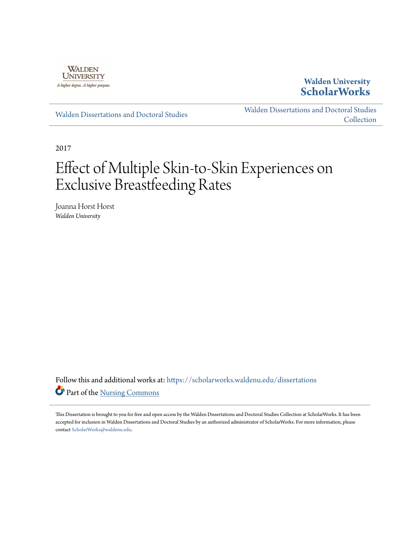

## **Walden University [ScholarWorks](https://scholarworks.waldenu.edu?utm_source=scholarworks.waldenu.edu%2Fdissertations%2F3612&utm_medium=PDF&utm_campaign=PDFCoverPages)**

[Walden Dissertations and Doctoral Studies](https://scholarworks.waldenu.edu/dissertations?utm_source=scholarworks.waldenu.edu%2Fdissertations%2F3612&utm_medium=PDF&utm_campaign=PDFCoverPages)

[Walden Dissertations and Doctoral Studies](https://scholarworks.waldenu.edu/dissanddoc?utm_source=scholarworks.waldenu.edu%2Fdissertations%2F3612&utm_medium=PDF&utm_campaign=PDFCoverPages) **[Collection](https://scholarworks.waldenu.edu/dissanddoc?utm_source=scholarworks.waldenu.edu%2Fdissertations%2F3612&utm_medium=PDF&utm_campaign=PDFCoverPages)** 

2017

# Effect of Multiple Skin-to-Skin Experiences on Exclusive Breastfeeding Rates

Joanna Horst Horst *Walden University*

Follow this and additional works at: [https://scholarworks.waldenu.edu/dissertations](https://scholarworks.waldenu.edu/dissertations?utm_source=scholarworks.waldenu.edu%2Fdissertations%2F3612&utm_medium=PDF&utm_campaign=PDFCoverPages) Part of the [Nursing Commons](http://network.bepress.com/hgg/discipline/718?utm_source=scholarworks.waldenu.edu%2Fdissertations%2F3612&utm_medium=PDF&utm_campaign=PDFCoverPages)

This Dissertation is brought to you for free and open access by the Walden Dissertations and Doctoral Studies Collection at ScholarWorks. It has been accepted for inclusion in Walden Dissertations and Doctoral Studies by an authorized administrator of ScholarWorks. For more information, please contact [ScholarWorks@waldenu.edu](mailto:ScholarWorks@waldenu.edu).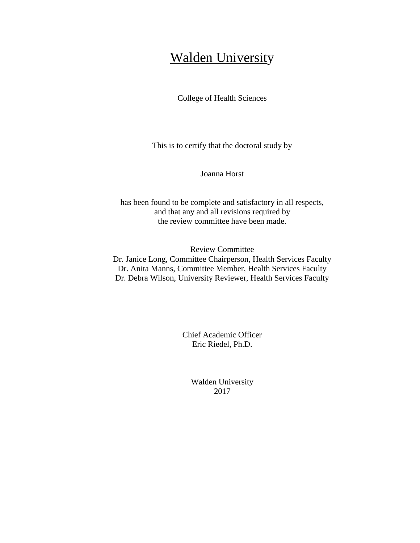## **Walden University**

College of Health Sciences

This is to certify that the doctoral study by

Joanna Horst

has been found to be complete and satisfactory in all respects, and that any and all revisions required by the review committee have been made.

Review Committee Dr. Janice Long, Committee Chairperson, Health Services Faculty Dr. Anita Manns, Committee Member, Health Services Faculty Dr. Debra Wilson, University Reviewer, Health Services Faculty

> Chief Academic Officer Eric Riedel, Ph.D.

> > Walden University 2017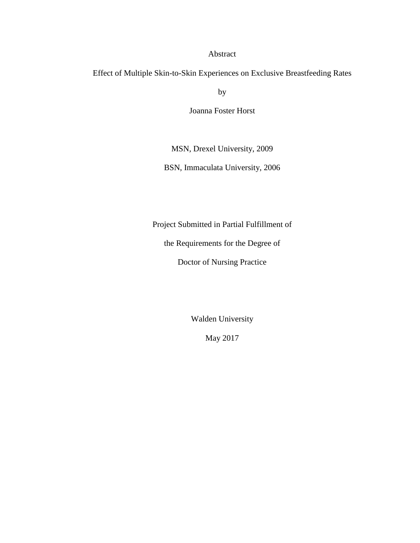## Abstract

Effect of Multiple Skin-to-Skin Experiences on Exclusive Breastfeeding Rates

by

Joanna Foster Horst

MSN, Drexel University, 2009

BSN, Immaculata University, 2006

Project Submitted in Partial Fulfillment of

the Requirements for the Degree of

Doctor of Nursing Practice

Walden University

May 2017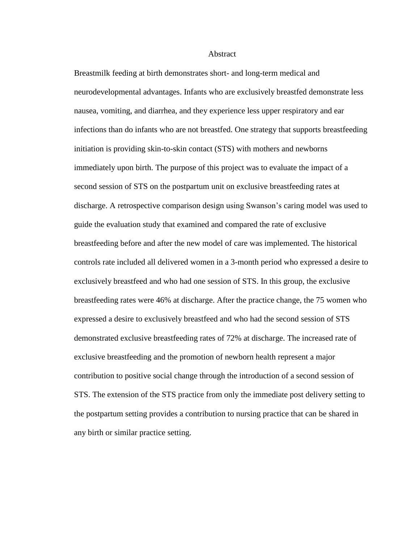#### Abstract

Breastmilk feeding at birth demonstrates short- and long-term medical and neurodevelopmental advantages. Infants who are exclusively breastfed demonstrate less nausea, vomiting, and diarrhea, and they experience less upper respiratory and ear infections than do infants who are not breastfed. One strategy that supports breastfeeding initiation is providing skin-to-skin contact (STS) with mothers and newborns immediately upon birth. The purpose of this project was to evaluate the impact of a second session of STS on the postpartum unit on exclusive breastfeeding rates at discharge. A retrospective comparison design using Swanson's caring model was used to guide the evaluation study that examined and compared the rate of exclusive breastfeeding before and after the new model of care was implemented. The historical controls rate included all delivered women in a 3-month period who expressed a desire to exclusively breastfeed and who had one session of STS. In this group, the exclusive breastfeeding rates were 46% at discharge. After the practice change, the 75 women who expressed a desire to exclusively breastfeed and who had the second session of STS demonstrated exclusive breastfeeding rates of 72% at discharge. The increased rate of exclusive breastfeeding and the promotion of newborn health represent a major contribution to positive social change through the introduction of a second session of STS. The extension of the STS practice from only the immediate post delivery setting to the postpartum setting provides a contribution to nursing practice that can be shared in any birth or similar practice setting.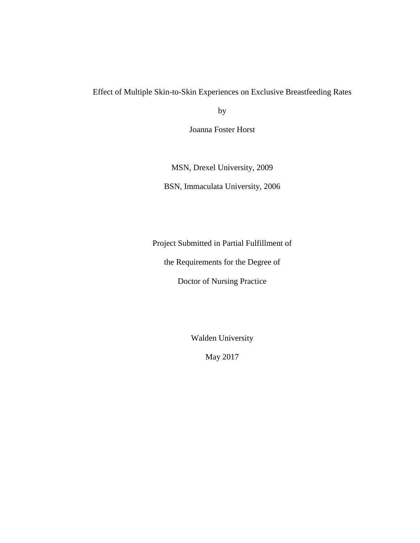## Effect of Multiple Skin-to-Skin Experiences on Exclusive Breastfeeding Rates

by

Joanna Foster Horst

MSN, Drexel University, 2009 BSN, Immaculata University, 2006

Project Submitted in Partial Fulfillment of

the Requirements for the Degree of

Doctor of Nursing Practice

Walden University

May 2017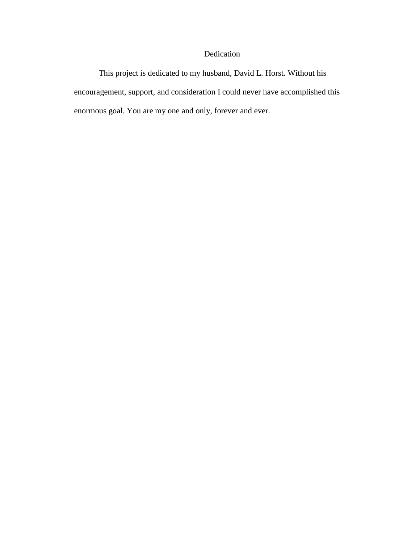## Dedication

This project is dedicated to my husband, David L. Horst. Without his encouragement, support, and consideration I could never have accomplished this enormous goal. You are my one and only, forever and ever.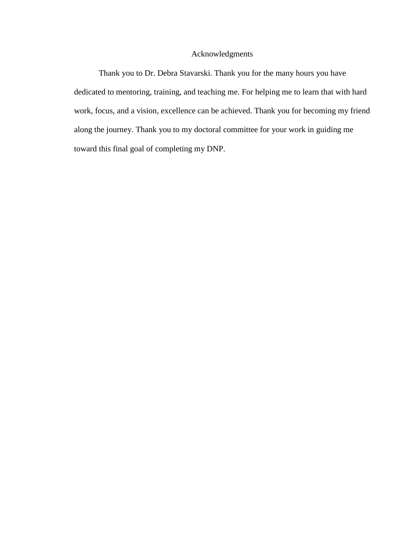## Acknowledgments

Thank you to Dr. Debra Stavarski. Thank you for the many hours you have dedicated to mentoring, training, and teaching me. For helping me to learn that with hard work, focus, and a vision, excellence can be achieved. Thank you for becoming my friend along the journey. Thank you to my doctoral committee for your work in guiding me toward this final goal of completing my DNP.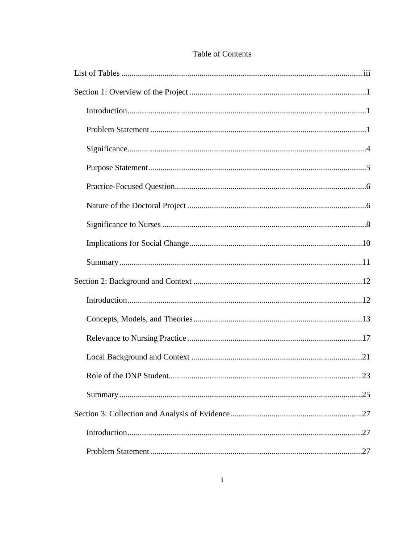| .23 |
|-----|
|     |
|     |
|     |
|     |

## Table of Contents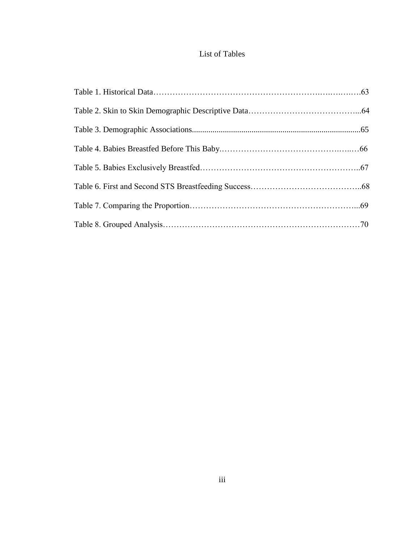## List of Tables

<span id="page-9-0"></span>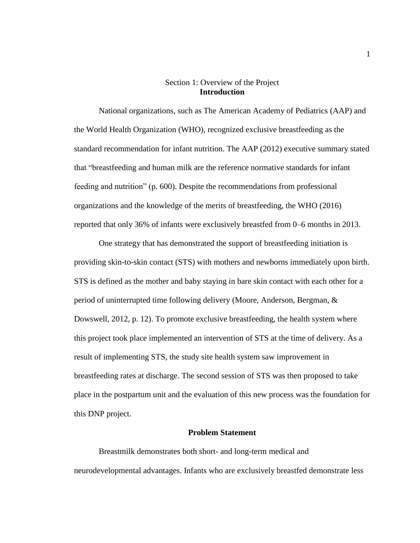#### Section 1: Overview of the Project **Introduction**

<span id="page-10-1"></span><span id="page-10-0"></span>National organizations, such as The American Academy of Pediatrics (AAP) and the World Health Organization (WHO), recognized exclusive breastfeeding as the standard recommendation for infant nutrition. The AAP (2012) executive summary stated that "breastfeeding and human milk are the reference normative standards for infant feeding and nutrition" (p. 600). Despite the recommendations from professional organizations and the knowledge of the merits of breastfeeding, the WHO (2016) reported that only 36% of infants were exclusively breastfed from 0–6 months in 2013.

One strategy that has demonstrated the support of breastfeeding initiation is providing skin-to-skin contact (STS) with mothers and newborns immediately upon birth. STS is defined as the mother and baby staying in bare skin contact with each other for a period of uninterrupted time following delivery (Moore, Anderson, Bergman, & Dowswell, 2012, p. 12). To promote exclusive breastfeeding, the health system where this project took place implemented an intervention of STS at the time of delivery. As a result of implementing STS, the study site health system saw improvement in breastfeeding rates at discharge. The second session of STS was then proposed to take place in the postpartum unit and the evaluation of this new process was the foundation for this DNP project.

#### **Problem Statement**

<span id="page-10-2"></span>Breastmilk demonstrates both short- and long-term medical and neurodevelopmental advantages. Infants who are exclusively breastfed demonstrate less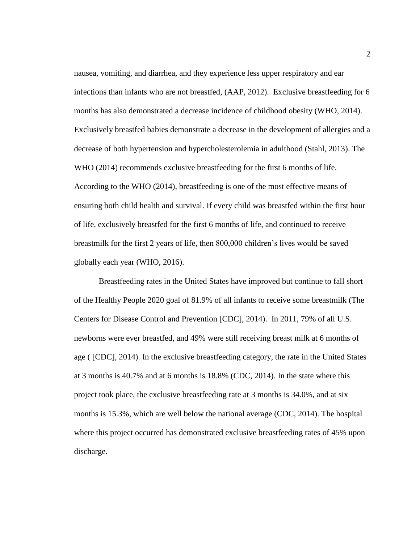nausea, vomiting, and diarrhea, and they experience less upper respiratory and ear infections than infants who are not breastfed, (AAP, 2012). Exclusive breastfeeding for 6 months has also demonstrated a decrease incidence of childhood obesity (WHO, 2014). Exclusively breastfed babies demonstrate a decrease in the development of allergies and a decrease of both hypertension and hypercholesterolemia in adulthood (Stahl, 2013). The WHO (2014) recommends exclusive breastfeeding for the first 6 months of life. According to the WHO (2014), breastfeeding is one of the most effective means of ensuring both child health and survival. If every child was breastfed within the first hour of life, exclusively breastfed for the first 6 months of life, and continued to receive breastmilk for the first 2 years of life, then 800,000 children's lives would be saved globally each year (WHO, 2016).

Breastfeeding rates in the United States have improved but continue to fall short of the Healthy People 2020 goal of 81.9% of all infants to receive some breastmilk (The Centers for Disease Control and Prevention [CDC], 2014). In 2011, 79% of all U.S. newborns were ever breastfed, and 49% were still receiving breast milk at 6 months of age ( [CDC], 2014). In the exclusive breastfeeding category, the rate in the United States at 3 months is 40.7% and at 6 months is 18.8% (CDC, 2014). In the state where this project took place, the exclusive breastfeeding rate at 3 months is 34.0%, and at six months is 15.3%, which are well below the national average (CDC, 2014). The hospital where this project occurred has demonstrated exclusive breastfeeding rates of 45% upon discharge.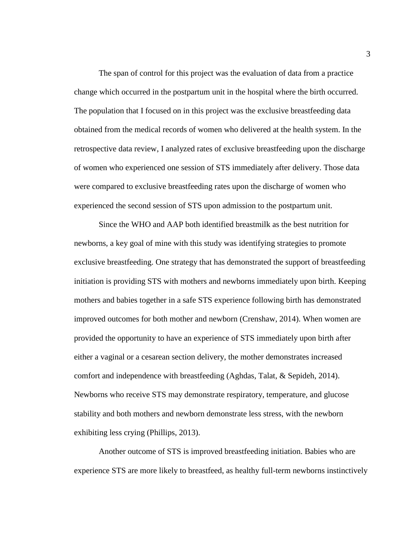The span of control for this project was the evaluation of data from a practice change which occurred in the postpartum unit in the hospital where the birth occurred. The population that I focused on in this project was the exclusive breastfeeding data obtained from the medical records of women who delivered at the health system. In the retrospective data review, I analyzed rates of exclusive breastfeeding upon the discharge of women who experienced one session of STS immediately after delivery. Those data were compared to exclusive breastfeeding rates upon the discharge of women who experienced the second session of STS upon admission to the postpartum unit.

Since the WHO and AAP both identified breastmilk as the best nutrition for newborns, a key goal of mine with this study was identifying strategies to promote exclusive breastfeeding. One strategy that has demonstrated the support of breastfeeding initiation is providing STS with mothers and newborns immediately upon birth. Keeping mothers and babies together in a safe STS experience following birth has demonstrated improved outcomes for both mother and newborn (Crenshaw, 2014). When women are provided the opportunity to have an experience of STS immediately upon birth after either a vaginal or a cesarean section delivery, the mother demonstrates increased comfort and independence with breastfeeding (Aghdas, Talat, & Sepideh, 2014). Newborns who receive STS may demonstrate respiratory, temperature, and glucose stability and both mothers and newborn demonstrate less stress, with the newborn exhibiting less crying (Phillips, 2013).

Another outcome of STS is improved breastfeeding initiation. Babies who are experience STS are more likely to breastfeed, as healthy full-term newborns instinctively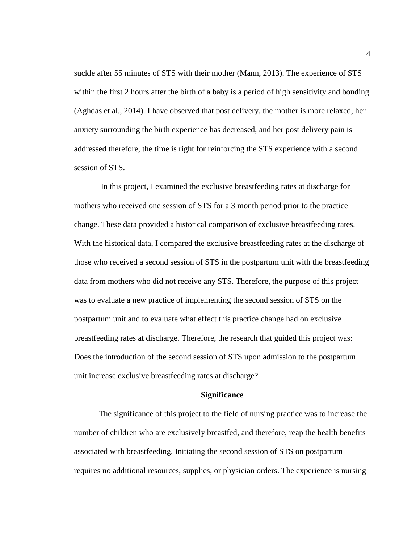suckle after 55 minutes of STS with their mother (Mann, 2013). The experience of STS within the first 2 hours after the birth of a baby is a period of high sensitivity and bonding (Aghdas et al., 2014). I have observed that post delivery, the mother is more relaxed, her anxiety surrounding the birth experience has decreased, and her post delivery pain is addressed therefore, the time is right for reinforcing the STS experience with a second session of STS.

In this project, I examined the exclusive breastfeeding rates at discharge for mothers who received one session of STS for a 3 month period prior to the practice change. These data provided a historical comparison of exclusive breastfeeding rates. With the historical data, I compared the exclusive breastfeeding rates at the discharge of those who received a second session of STS in the postpartum unit with the breastfeeding data from mothers who did not receive any STS. Therefore, the purpose of this project was to evaluate a new practice of implementing the second session of STS on the postpartum unit and to evaluate what effect this practice change had on exclusive breastfeeding rates at discharge. Therefore, the research that guided this project was: Does the introduction of the second session of STS upon admission to the postpartum unit increase exclusive breastfeeding rates at discharge?

#### **Significance**

<span id="page-13-0"></span>The significance of this project to the field of nursing practice was to increase the number of children who are exclusively breastfed, and therefore, reap the health benefits associated with breastfeeding. Initiating the second session of STS on postpartum requires no additional resources, supplies, or physician orders. The experience is nursing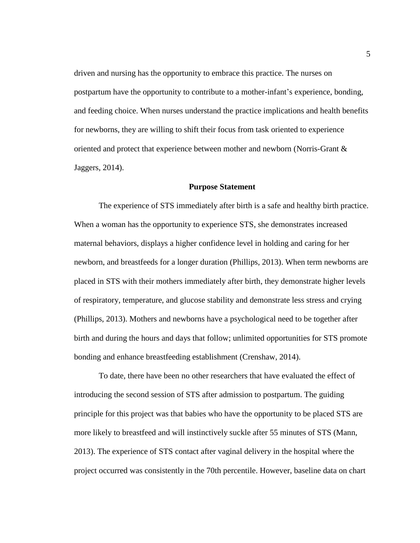driven and nursing has the opportunity to embrace this practice. The nurses on postpartum have the opportunity to contribute to a mother-infant's experience, bonding, and feeding choice. When nurses understand the practice implications and health benefits for newborns, they are willing to shift their focus from task oriented to experience oriented and protect that experience between mother and newborn (Norris-Grant & Jaggers, 2014).

#### **Purpose Statement**

<span id="page-14-0"></span>The experience of STS immediately after birth is a safe and healthy birth practice. When a woman has the opportunity to experience STS, she demonstrates increased maternal behaviors, displays a higher confidence level in holding and caring for her newborn, and breastfeeds for a longer duration (Phillips, 2013). When term newborns are placed in STS with their mothers immediately after birth, they demonstrate higher levels of respiratory, temperature, and glucose stability and demonstrate less stress and crying (Phillips, 2013). Mothers and newborns have a psychological need to be together after birth and during the hours and days that follow; unlimited opportunities for STS promote bonding and enhance breastfeeding establishment (Crenshaw, 2014).

To date, there have been no other researchers that have evaluated the effect of introducing the second session of STS after admission to postpartum. The guiding principle for this project was that babies who have the opportunity to be placed STS are more likely to breastfeed and will instinctively suckle after 55 minutes of STS (Mann, 2013). The experience of STS contact after vaginal delivery in the hospital where the project occurred was consistently in the 70th percentile. However, baseline data on chart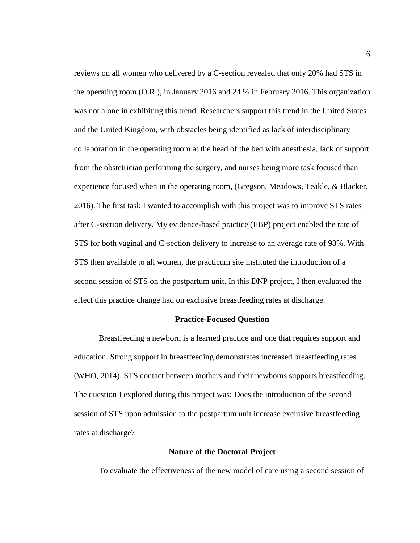reviews on all women who delivered by a C-section revealed that only 20% had STS in the operating room (O.R.), in January 2016 and 24 % in February 2016. This organization was not alone in exhibiting this trend. Researchers support this trend in the United States and the United Kingdom, with obstacles being identified as lack of interdisciplinary collaboration in the operating room at the head of the bed with anesthesia, lack of support from the obstetrician performing the surgery, and nurses being more task focused than experience focused when in the operating room, (Gregson, Meadows, Teakle, & Blacker, 2016). The first task I wanted to accomplish with this project was to improve STS rates after C-section delivery. My evidence-based practice (EBP) project enabled the rate of STS for both vaginal and C-section delivery to increase to an average rate of 98%. With STS then available to all women, the practicum site instituted the introduction of a second session of STS on the postpartum unit. In this DNP project, I then evaluated the effect this practice change had on exclusive breastfeeding rates at discharge.

#### **Practice-Focused Question**

<span id="page-15-0"></span>Breastfeeding a newborn is a learned practice and one that requires support and education. Strong support in breastfeeding demonstrates increased breastfeeding rates (WHO, 2014). STS contact between mothers and their newborns supports breastfeeding. The question I explored during this project was: Does the introduction of the second session of STS upon admission to the postpartum unit increase exclusive breastfeeding rates at discharge?

#### **Nature of the Doctoral Project**

<span id="page-15-1"></span>To evaluate the effectiveness of the new model of care using a second session of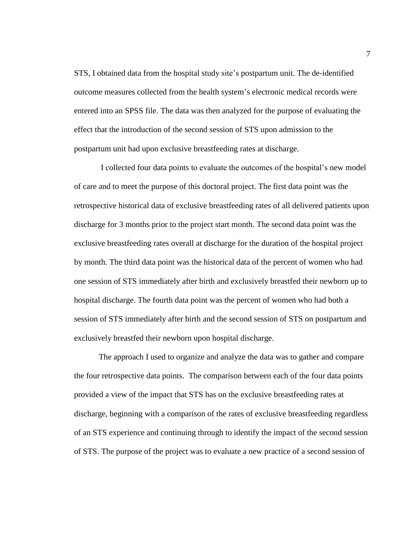STS, I obtained data from the hospital study site's postpartum unit. The de-identified outcome measures collected from the health system's electronic medical records were entered into an SPSS file. The data was then analyzed for the purpose of evaluating the effect that the introduction of the second session of STS upon admission to the postpartum unit had upon exclusive breastfeeding rates at discharge.

I collected four data points to evaluate the outcomes of the hospital's new model of care and to meet the purpose of this doctoral project. The first data point was the retrospective historical data of exclusive breastfeeding rates of all delivered patients upon discharge for 3 months prior to the project start month. The second data point was the exclusive breastfeeding rates overall at discharge for the duration of the hospital project by month. The third data point was the historical data of the percent of women who had one session of STS immediately after birth and exclusively breastfed their newborn up to hospital discharge. The fourth data point was the percent of women who had both a session of STS immediately after birth and the second session of STS on postpartum and exclusively breastfed their newborn upon hospital discharge.

The approach I used to organize and analyze the data was to gather and compare the four retrospective data points. The comparison between each of the four data points provided a view of the impact that STS has on the exclusive breastfeeding rates at discharge, beginning with a comparison of the rates of exclusive breastfeeding regardless of an STS experience and continuing through to identify the impact of the second session of STS. The purpose of the project was to evaluate a new practice of a second session of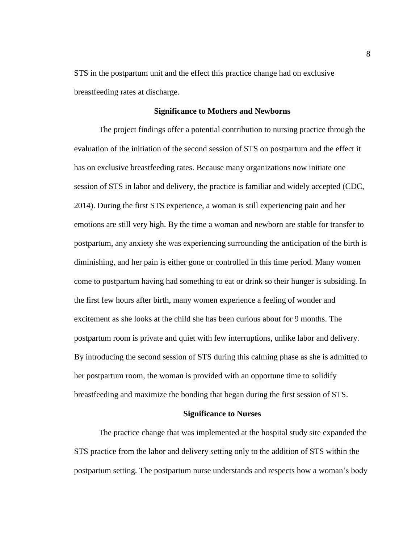STS in the postpartum unit and the effect this practice change had on exclusive breastfeeding rates at discharge.

#### **Significance to Mothers and Newborns**

The project findings offer a potential contribution to nursing practice through the evaluation of the initiation of the second session of STS on postpartum and the effect it has on exclusive breastfeeding rates. Because many organizations now initiate one session of STS in labor and delivery, the practice is familiar and widely accepted (CDC, 2014). During the first STS experience, a woman is still experiencing pain and her emotions are still very high. By the time a woman and newborn are stable for transfer to postpartum, any anxiety she was experiencing surrounding the anticipation of the birth is diminishing, and her pain is either gone or controlled in this time period. Many women come to postpartum having had something to eat or drink so their hunger is subsiding. In the first few hours after birth, many women experience a feeling of wonder and excitement as she looks at the child she has been curious about for 9 months. The postpartum room is private and quiet with few interruptions, unlike labor and delivery. By introducing the second session of STS during this calming phase as she is admitted to her postpartum room, the woman is provided with an opportune time to solidify breastfeeding and maximize the bonding that began during the first session of STS.

#### **Significance to Nurses**

<span id="page-17-0"></span>The practice change that was implemented at the hospital study site expanded the STS practice from the labor and delivery setting only to the addition of STS within the postpartum setting. The postpartum nurse understands and respects how a woman's body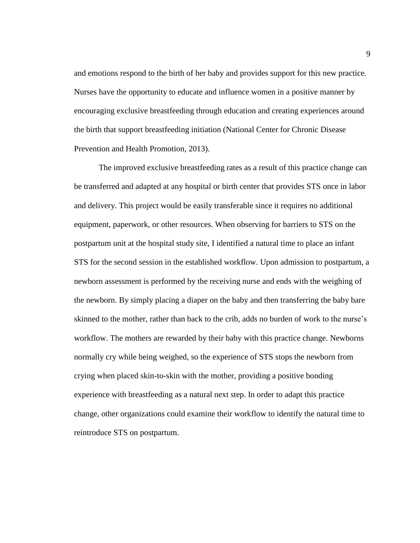and emotions respond to the birth of her baby and provides support for this new practice. Nurses have the opportunity to educate and influence women in a positive manner by encouraging exclusive breastfeeding through education and creating experiences around the birth that support breastfeeding initiation (National Center for Chronic Disease Prevention and Health Promotion, 2013).

The improved exclusive breastfeeding rates as a result of this practice change can be transferred and adapted at any hospital or birth center that provides STS once in labor and delivery. This project would be easily transferable since it requires no additional equipment, paperwork, or other resources. When observing for barriers to STS on the postpartum unit at the hospital study site, I identified a natural time to place an infant STS for the second session in the established workflow. Upon admission to postpartum, a newborn assessment is performed by the receiving nurse and ends with the weighing of the newborn. By simply placing a diaper on the baby and then transferring the baby bare skinned to the mother, rather than back to the crib, adds no burden of work to the nurse's workflow. The mothers are rewarded by their baby with this practice change. Newborns normally cry while being weighed, so the experience of STS stops the newborn from crying when placed skin-to-skin with the mother, providing a positive bonding experience with breastfeeding as a natural next step. In order to adapt this practice change, other organizations could examine their workflow to identify the natural time to reintroduce STS on postpartum.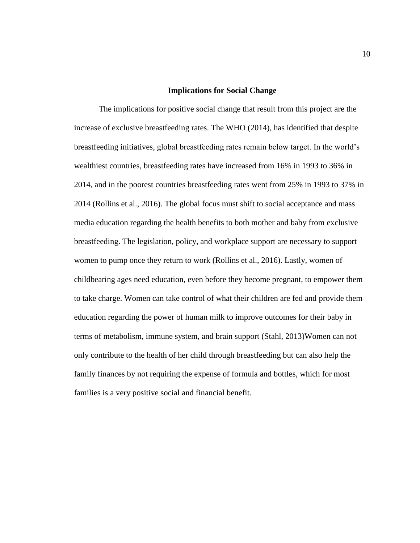#### **Implications for Social Change**

<span id="page-19-0"></span>The implications for positive social change that result from this project are the increase of exclusive breastfeeding rates. The WHO (2014), has identified that despite breastfeeding initiatives, global breastfeeding rates remain below target. In the world's wealthiest countries, breastfeeding rates have increased from 16% in 1993 to 36% in 2014, and in the poorest countries breastfeeding rates went from 25% in 1993 to 37% in 2014 (Rollins et al., 2016). The global focus must shift to social acceptance and mass media education regarding the health benefits to both mother and baby from exclusive breastfeeding. The legislation, policy, and workplace support are necessary to support women to pump once they return to work (Rollins et al., 2016). Lastly, women of childbearing ages need education, even before they become pregnant, to empower them to take charge. Women can take control of what their children are fed and provide them education regarding the power of human milk to improve outcomes for their baby in terms of metabolism, immune system, and brain support (Stahl, 2013)Women can not only contribute to the health of her child through breastfeeding but can also help the family finances by not requiring the expense of formula and bottles, which for most families is a very positive social and financial benefit.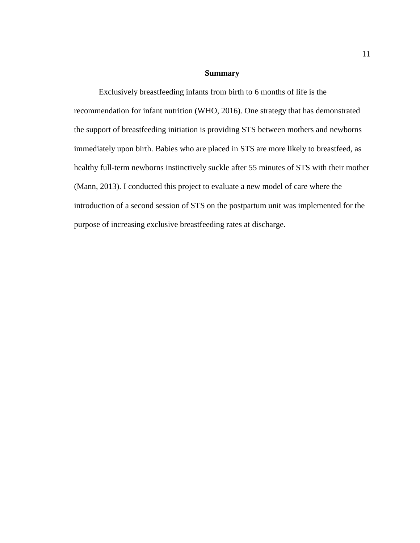#### **Summary**

<span id="page-20-0"></span>Exclusively breastfeeding infants from birth to 6 months of life is the recommendation for infant nutrition (WHO, 2016). One strategy that has demonstrated the support of breastfeeding initiation is providing STS between mothers and newborns immediately upon birth. Babies who are placed in STS are more likely to breastfeed, as healthy full-term newborns instinctively suckle after 55 minutes of STS with their mother (Mann, 2013). I conducted this project to evaluate a new model of care where the introduction of a second session of STS on the postpartum unit was implemented for the purpose of increasing exclusive breastfeeding rates at discharge.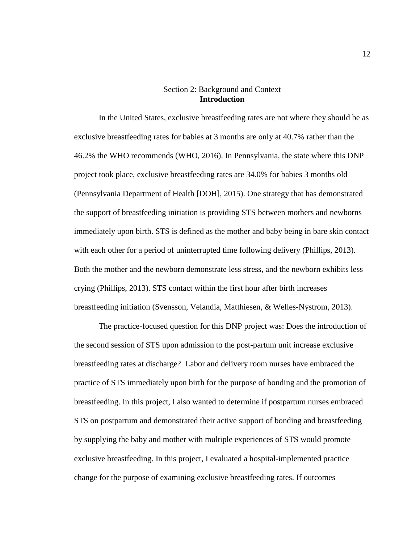#### Section 2: Background and Context **Introduction**

<span id="page-21-1"></span><span id="page-21-0"></span>In the United States, exclusive breastfeeding rates are not where they should be as exclusive breastfeeding rates for babies at 3 months are only at 40.7% rather than the 46.2% the WHO recommends (WHO, 2016). In Pennsylvania, the state where this DNP project took place, exclusive breastfeeding rates are 34.0% for babies 3 months old (Pennsylvania Department of Health [DOH], 2015). One strategy that has demonstrated the support of breastfeeding initiation is providing STS between mothers and newborns immediately upon birth. STS is defined as the mother and baby being in bare skin contact with each other for a period of uninterrupted time following delivery (Phillips, 2013). Both the mother and the newborn demonstrate less stress, and the newborn exhibits less crying (Phillips, 2013). STS contact within the first hour after birth increases breastfeeding initiation (Svensson, Velandia, Matthiesen, & Welles-Nystrom, 2013).

The practice-focused question for this DNP project was: Does the introduction of the second session of STS upon admission to the post-partum unit increase exclusive breastfeeding rates at discharge? Labor and delivery room nurses have embraced the practice of STS immediately upon birth for the purpose of bonding and the promotion of breastfeeding. In this project, I also wanted to determine if postpartum nurses embraced STS on postpartum and demonstrated their active support of bonding and breastfeeding by supplying the baby and mother with multiple experiences of STS would promote exclusive breastfeeding. In this project, I evaluated a hospital-implemented practice change for the purpose of examining exclusive breastfeeding rates. If outcomes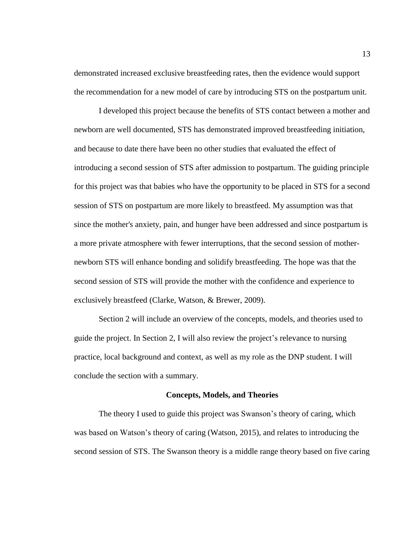demonstrated increased exclusive breastfeeding rates, then the evidence would support the recommendation for a new model of care by introducing STS on the postpartum unit.

I developed this project because the benefits of STS contact between a mother and newborn are well documented, STS has demonstrated improved breastfeeding initiation, and because to date there have been no other studies that evaluated the effect of introducing a second session of STS after admission to postpartum. The guiding principle for this project was that babies who have the opportunity to be placed in STS for a second session of STS on postpartum are more likely to breastfeed. My assumption was that since the mother's anxiety, pain, and hunger have been addressed and since postpartum is a more private atmosphere with fewer interruptions, that the second session of mothernewborn STS will enhance bonding and solidify breastfeeding. The hope was that the second session of STS will provide the mother with the confidence and experience to exclusively breastfeed (Clarke, Watson, & Brewer, 2009).

Section 2 will include an overview of the concepts, models, and theories used to guide the project. In Section 2, I will also review the project's relevance to nursing practice, local background and context, as well as my role as the DNP student. I will conclude the section with a summary.

#### **Concepts, Models, and Theories**

<span id="page-22-0"></span>The theory I used to guide this project was Swanson's theory of caring, which was based on Watson's theory of caring (Watson, 2015), and relates to introducing the second session of STS. The Swanson theory is a middle range theory based on five caring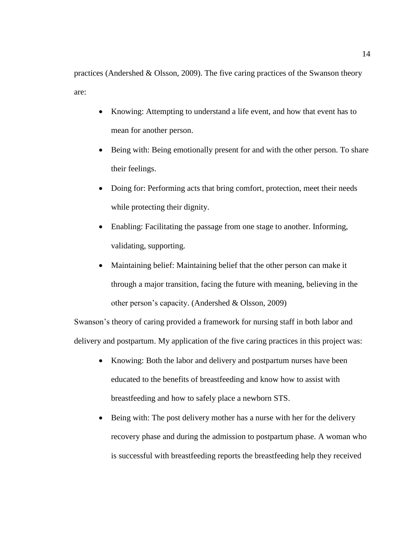practices (Andershed & Olsson, 2009). The five caring practices of the Swanson theory are:

- Knowing: Attempting to understand a life event, and how that event has to mean for another person.
- Being with: Being emotionally present for and with the other person. To share their feelings.
- Doing for: Performing acts that bring comfort, protection, meet their needs while protecting their dignity.
- Enabling: Facilitating the passage from one stage to another. Informing, validating, supporting.
- Maintaining belief: Maintaining belief that the other person can make it through a major transition, facing the future with meaning, believing in the other person's capacity. (Andershed & Olsson, 2009)

Swanson's theory of caring provided a framework for nursing staff in both labor and delivery and postpartum. My application of the five caring practices in this project was:

- Knowing: Both the labor and delivery and postpartum nurses have been educated to the benefits of breastfeeding and know how to assist with breastfeeding and how to safely place a newborn STS.
- Being with: The post delivery mother has a nurse with her for the delivery recovery phase and during the admission to postpartum phase. A woman who is successful with breastfeeding reports the breastfeeding help they received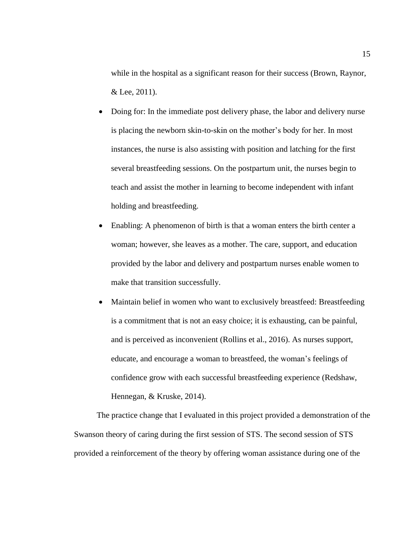while in the hospital as a significant reason for their success (Brown, Raynor, & Lee, 2011).

- Doing for: In the immediate post delivery phase, the labor and delivery nurse is placing the newborn skin-to-skin on the mother's body for her. In most instances, the nurse is also assisting with position and latching for the first several breastfeeding sessions. On the postpartum unit, the nurses begin to teach and assist the mother in learning to become independent with infant holding and breastfeeding.
- Enabling: A phenomenon of birth is that a woman enters the birth center a woman; however, she leaves as a mother. The care, support, and education provided by the labor and delivery and postpartum nurses enable women to make that transition successfully.
- Maintain belief in women who want to exclusively breastfeed: Breastfeeding is a commitment that is not an easy choice; it is exhausting, can be painful, and is perceived as inconvenient (Rollins et al., 2016). As nurses support, educate, and encourage a woman to breastfeed, the woman's feelings of confidence grow with each successful breastfeeding experience (Redshaw, Hennegan, & Kruske, 2014).

The practice change that I evaluated in this project provided a demonstration of the Swanson theory of caring during the first session of STS. The second session of STS provided a reinforcement of the theory by offering woman assistance during one of the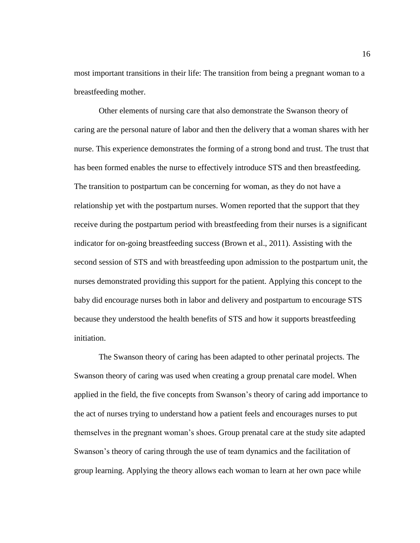most important transitions in their life: The transition from being a pregnant woman to a breastfeeding mother.

Other elements of nursing care that also demonstrate the Swanson theory of caring are the personal nature of labor and then the delivery that a woman shares with her nurse. This experience demonstrates the forming of a strong bond and trust. The trust that has been formed enables the nurse to effectively introduce STS and then breastfeeding. The transition to postpartum can be concerning for woman, as they do not have a relationship yet with the postpartum nurses. Women reported that the support that they receive during the postpartum period with breastfeeding from their nurses is a significant indicator for on-going breastfeeding success (Brown et al., 2011). Assisting with the second session of STS and with breastfeeding upon admission to the postpartum unit, the nurses demonstrated providing this support for the patient. Applying this concept to the baby did encourage nurses both in labor and delivery and postpartum to encourage STS because they understood the health benefits of STS and how it supports breastfeeding initiation.

The Swanson theory of caring has been adapted to other perinatal projects. The Swanson theory of caring was used when creating a group prenatal care model. When applied in the field, the five concepts from Swanson's theory of caring add importance to the act of nurses trying to understand how a patient feels and encourages nurses to put themselves in the pregnant woman's shoes. Group prenatal care at the study site adapted Swanson's theory of caring through the use of team dynamics and the facilitation of group learning. Applying the theory allows each woman to learn at her own pace while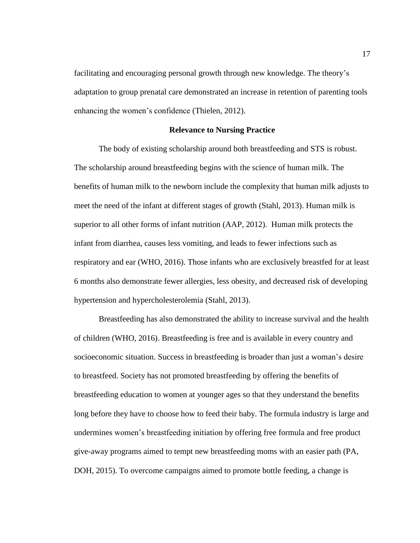facilitating and encouraging personal growth through new knowledge. The theory's adaptation to group prenatal care demonstrated an increase in retention of parenting tools enhancing the women's confidence (Thielen, 2012).

#### **Relevance to Nursing Practice**

<span id="page-26-0"></span>The body of existing scholarship around both breastfeeding and STS is robust. The scholarship around breastfeeding begins with the science of human milk. The benefits of human milk to the newborn include the complexity that human milk adjusts to meet the need of the infant at different stages of growth (Stahl, 2013). Human milk is superior to all other forms of infant nutrition (AAP, 2012). Human milk protects the infant from diarrhea, causes less vomiting, and leads to fewer infections such as respiratory and ear (WHO, 2016). Those infants who are exclusively breastfed for at least 6 months also demonstrate fewer allergies, less obesity, and decreased risk of developing hypertension and hypercholesterolemia (Stahl, 2013).

Breastfeeding has also demonstrated the ability to increase survival and the health of children (WHO, 2016). Breastfeeding is free and is available in every country and socioeconomic situation. Success in breastfeeding is broader than just a woman's desire to breastfeed. Society has not promoted breastfeeding by offering the benefits of breastfeeding education to women at younger ages so that they understand the benefits long before they have to choose how to feed their baby. The formula industry is large and undermines women's breastfeeding initiation by offering free formula and free product give-away programs aimed to tempt new breastfeeding moms with an easier path (PA, DOH, 2015). To overcome campaigns aimed to promote bottle feeding, a change is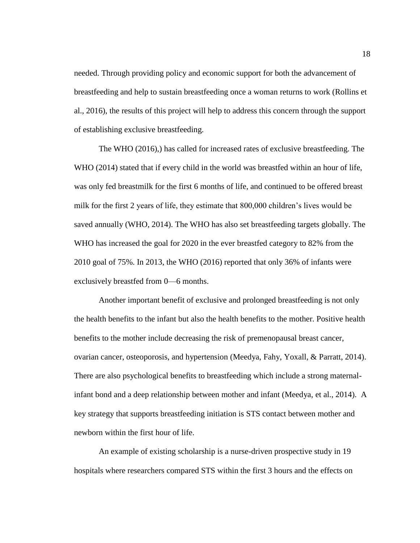needed. Through providing policy and economic support for both the advancement of breastfeeding and help to sustain breastfeeding once a woman returns to work (Rollins et al., 2016), the results of this project will help to address this concern through the support of establishing exclusive breastfeeding.

The WHO (2016),) has called for increased rates of exclusive breastfeeding. The WHO (2014) stated that if every child in the world was breastfed within an hour of life, was only fed breastmilk for the first 6 months of life, and continued to be offered breast milk for the first 2 years of life, they estimate that 800,000 children's lives would be saved annually (WHO, 2014). The WHO has also set breastfeeding targets globally. The WHO has increased the goal for 2020 in the ever breastfed category to 82% from the 2010 goal of 75%. In 2013, the WHO (2016) reported that only 36% of infants were exclusively breastfed from 0—6 months.

Another important benefit of exclusive and prolonged breastfeeding is not only the health benefits to the infant but also the health benefits to the mother. Positive health benefits to the mother include decreasing the risk of premenopausal breast cancer, ovarian cancer, osteoporosis, and hypertension (Meedya, Fahy, Yoxall, & Parratt, 2014). There are also psychological benefits to breastfeeding which include a strong maternalinfant bond and a deep relationship between mother and infant (Meedya, et al., 2014). A key strategy that supports breastfeeding initiation is STS contact between mother and newborn within the first hour of life.

An example of existing scholarship is a nurse-driven prospective study in 19 hospitals where researchers compared STS within the first 3 hours and the effects on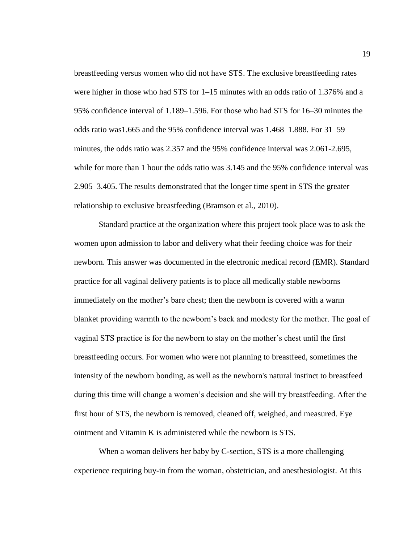breastfeeding versus women who did not have STS. The exclusive breastfeeding rates were higher in those who had STS for 1–15 minutes with an odds ratio of 1.376% and a 95% confidence interval of 1.189–1.596. For those who had STS for 16–30 minutes the odds ratio was1.665 and the 95% confidence interval was 1.468–1.888. For 31–59 minutes, the odds ratio was 2.357 and the 95% confidence interval was 2.061-2.695, while for more than 1 hour the odds ratio was  $3.145$  and the 95% confidence interval was 2.905–3.405. The results demonstrated that the longer time spent in STS the greater relationship to exclusive breastfeeding (Bramson et al., 2010).

Standard practice at the organization where this project took place was to ask the women upon admission to labor and delivery what their feeding choice was for their newborn. This answer was documented in the electronic medical record (EMR). Standard practice for all vaginal delivery patients is to place all medically stable newborns immediately on the mother's bare chest; then the newborn is covered with a warm blanket providing warmth to the newborn's back and modesty for the mother. The goal of vaginal STS practice is for the newborn to stay on the mother's chest until the first breastfeeding occurs. For women who were not planning to breastfeed, sometimes the intensity of the newborn bonding, as well as the newborn's natural instinct to breastfeed during this time will change a women's decision and she will try breastfeeding. After the first hour of STS, the newborn is removed, cleaned off, weighed, and measured. Eye ointment and Vitamin K is administered while the newborn is STS.

When a woman delivers her baby by C-section, STS is a more challenging experience requiring buy-in from the woman, obstetrician, and anesthesiologist. At this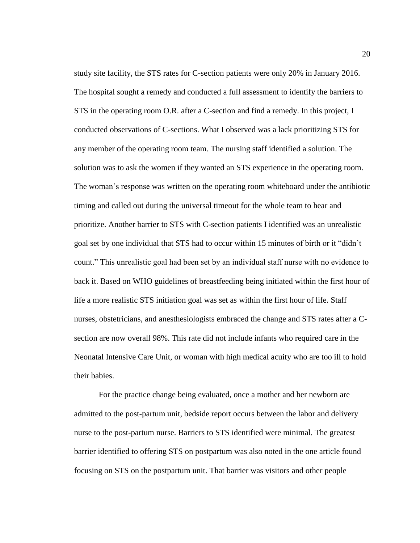study site facility, the STS rates for C-section patients were only 20% in January 2016. The hospital sought a remedy and conducted a full assessment to identify the barriers to STS in the operating room O.R. after a C-section and find a remedy. In this project, I conducted observations of C-sections. What I observed was a lack prioritizing STS for any member of the operating room team. The nursing staff identified a solution. The solution was to ask the women if they wanted an STS experience in the operating room. The woman's response was written on the operating room whiteboard under the antibiotic timing and called out during the universal timeout for the whole team to hear and prioritize. Another barrier to STS with C-section patients I identified was an unrealistic goal set by one individual that STS had to occur within 15 minutes of birth or it "didn't count." This unrealistic goal had been set by an individual staff nurse with no evidence to back it. Based on WHO guidelines of breastfeeding being initiated within the first hour of life a more realistic STS initiation goal was set as within the first hour of life. Staff nurses, obstetricians, and anesthesiologists embraced the change and STS rates after a Csection are now overall 98%. This rate did not include infants who required care in the Neonatal Intensive Care Unit, or woman with high medical acuity who are too ill to hold their babies.

For the practice change being evaluated, once a mother and her newborn are admitted to the post-partum unit, bedside report occurs between the labor and delivery nurse to the post-partum nurse. Barriers to STS identified were minimal. The greatest barrier identified to offering STS on postpartum was also noted in the one article found focusing on STS on the postpartum unit. That barrier was visitors and other people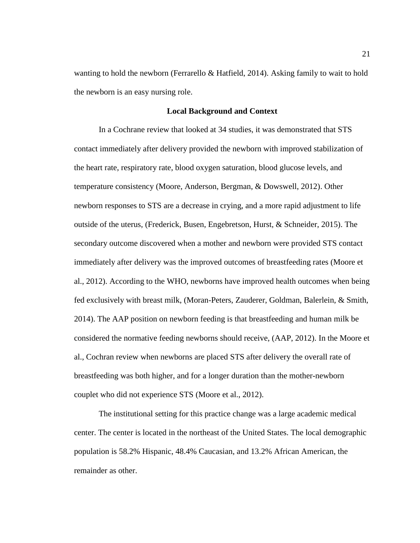wanting to hold the newborn (Ferrarello & Hatfield, 2014). Asking family to wait to hold the newborn is an easy nursing role.

#### **Local Background and Context**

<span id="page-30-0"></span>In a Cochrane review that looked at 34 studies, it was demonstrated that STS contact immediately after delivery provided the newborn with improved stabilization of the heart rate, respiratory rate, blood oxygen saturation, blood glucose levels, and temperature consistency (Moore, Anderson, Bergman, & Dowswell, 2012). Other newborn responses to STS are a decrease in crying, and a more rapid adjustment to life outside of the uterus, (Frederick, Busen, Engebretson, Hurst, & Schneider, 2015). The secondary outcome discovered when a mother and newborn were provided STS contact immediately after delivery was the improved outcomes of breastfeeding rates (Moore et al., 2012). According to the WHO, newborns have improved health outcomes when being fed exclusively with breast milk, (Moran-Peters, Zauderer, Goldman, Balerlein, & Smith, 2014). The AAP position on newborn feeding is that breastfeeding and human milk be considered the normative feeding newborns should receive, (AAP, 2012). In the Moore et al., Cochran review when newborns are placed STS after delivery the overall rate of breastfeeding was both higher, and for a longer duration than the mother-newborn couplet who did not experience STS (Moore et al., 2012).

The institutional setting for this practice change was a large academic medical center. The center is located in the northeast of the United States. The local demographic population is 58.2% Hispanic, 48.4% Caucasian, and 13.2% African American, the remainder as other.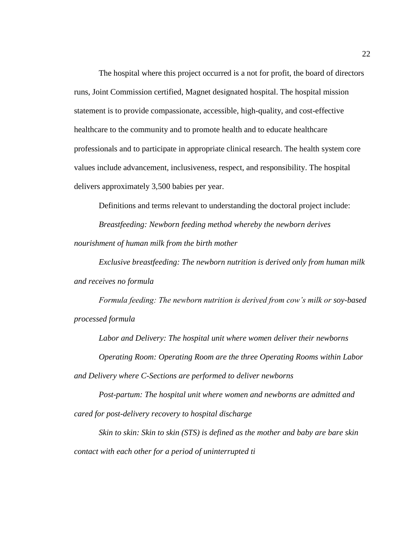The hospital where this project occurred is a not for profit, the board of directors runs, Joint Commission certified, Magnet designated hospital. The hospital mission statement is to provide compassionate, accessible, high-quality, and cost-effective healthcare to the community and to promote health and to educate healthcare professionals and to participate in appropriate clinical research. The health system core values include advancement, inclusiveness, respect, and responsibility. The hospital delivers approximately 3,500 babies per year.

Definitions and terms relevant to understanding the doctoral project include:

*Breastfeeding: Newborn feeding method whereby the newborn derives nourishment of human milk from the birth mother*

*Exclusive breastfeeding: The newborn nutrition is derived only from human milk and receives no formula*

*Formula feeding: The newborn nutrition is derived from cow's milk or soy-based processed formula*

*Labor and Delivery: The hospital unit where women deliver their newborns Operating Room: Operating Room are the three Operating Rooms within Labor and Delivery where C-Sections are performed to deliver newborns*

*Post-partum: The hospital unit where women and newborns are admitted and cared for post-delivery recovery to hospital discharge*

*Skin to skin: Skin to skin (STS) is defined as the mother and baby are bare skin contact with each other for a period of uninterrupted ti*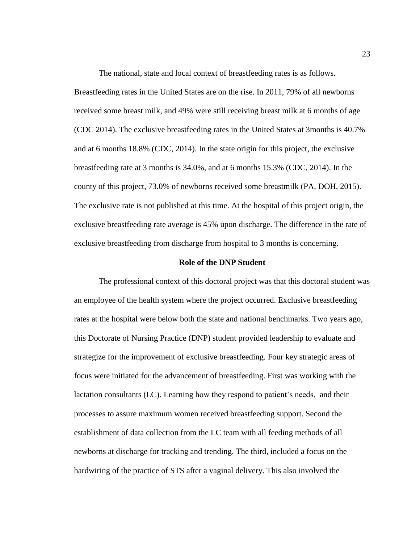The national, state and local context of breastfeeding rates is as follows. Breastfeeding rates in the United States are on the rise. In 2011, 79% of all newborns received some breast milk, and 49% were still receiving breast milk at 6 months of age (CDC 2014). The exclusive breastfeeding rates in the United States at 3months is 40.7% and at 6 months 18.8% (CDC, 2014). In the state origin for this project, the exclusive breastfeeding rate at 3 months is 34.0%, and at 6 months 15.3% (CDC, 2014). In the county of this project, 73.0% of newborns received some breastmilk (PA, DOH, 2015). The exclusive rate is not published at this time. At the hospital of this project origin, the exclusive breastfeeding rate average is 45% upon discharge. The difference in the rate of exclusive breastfeeding from discharge from hospital to 3 months is concerning.

#### **Role of the DNP Student**

<span id="page-32-0"></span>The professional context of this doctoral project was that this doctoral student was an employee of the health system where the project occurred. Exclusive breastfeeding rates at the hospital were below both the state and national benchmarks. Two years ago, this Doctorate of Nursing Practice (DNP) student provided leadership to evaluate and strategize for the improvement of exclusive breastfeeding. Four key strategic areas of focus were initiated for the advancement of breastfeeding. First was working with the lactation consultants (LC). Learning how they respond to patient's needs, and their processes to assure maximum women received breastfeeding support. Second the establishment of data collection from the LC team with all feeding methods of all newborns at discharge for tracking and trending. The third, included a focus on the hardwiring of the practice of STS after a vaginal delivery. This also involved the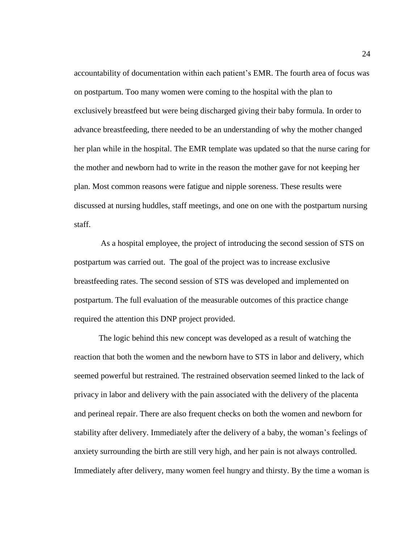accountability of documentation within each patient's EMR. The fourth area of focus was on postpartum. Too many women were coming to the hospital with the plan to exclusively breastfeed but were being discharged giving their baby formula. In order to advance breastfeeding, there needed to be an understanding of why the mother changed her plan while in the hospital. The EMR template was updated so that the nurse caring for the mother and newborn had to write in the reason the mother gave for not keeping her plan. Most common reasons were fatigue and nipple soreness. These results were discussed at nursing huddles, staff meetings, and one on one with the postpartum nursing staff.

As a hospital employee, the project of introducing the second session of STS on postpartum was carried out. The goal of the project was to increase exclusive breastfeeding rates. The second session of STS was developed and implemented on postpartum. The full evaluation of the measurable outcomes of this practice change required the attention this DNP project provided.

The logic behind this new concept was developed as a result of watching the reaction that both the women and the newborn have to STS in labor and delivery, which seemed powerful but restrained. The restrained observation seemed linked to the lack of privacy in labor and delivery with the pain associated with the delivery of the placenta and perineal repair. There are also frequent checks on both the women and newborn for stability after delivery. Immediately after the delivery of a baby, the woman's feelings of anxiety surrounding the birth are still very high, and her pain is not always controlled. Immediately after delivery, many women feel hungry and thirsty. By the time a woman is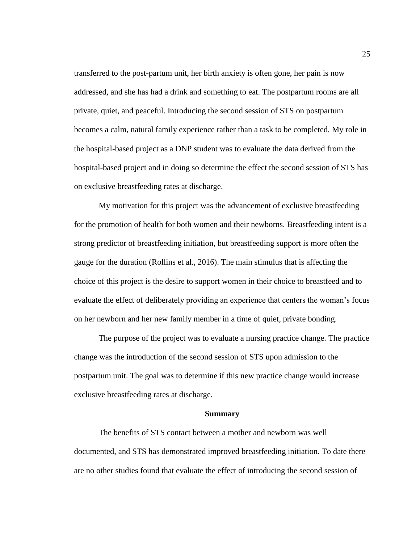transferred to the post-partum unit, her birth anxiety is often gone, her pain is now addressed, and she has had a drink and something to eat. The postpartum rooms are all private, quiet, and peaceful. Introducing the second session of STS on postpartum becomes a calm, natural family experience rather than a task to be completed. My role in the hospital-based project as a DNP student was to evaluate the data derived from the hospital-based project and in doing so determine the effect the second session of STS has on exclusive breastfeeding rates at discharge.

My motivation for this project was the advancement of exclusive breastfeeding for the promotion of health for both women and their newborns. Breastfeeding intent is a strong predictor of breastfeeding initiation, but breastfeeding support is more often the gauge for the duration (Rollins et al., 2016). The main stimulus that is affecting the choice of this project is the desire to support women in their choice to breastfeed and to evaluate the effect of deliberately providing an experience that centers the woman's focus on her newborn and her new family member in a time of quiet, private bonding.

The purpose of the project was to evaluate a nursing practice change. The practice change was the introduction of the second session of STS upon admission to the postpartum unit. The goal was to determine if this new practice change would increase exclusive breastfeeding rates at discharge.

#### **Summary**

<span id="page-34-0"></span>The benefits of STS contact between a mother and newborn was well documented, and STS has demonstrated improved breastfeeding initiation. To date there are no other studies found that evaluate the effect of introducing the second session of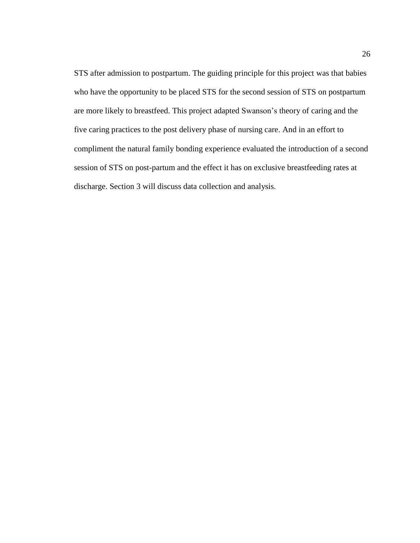STS after admission to postpartum. The guiding principle for this project was that babies who have the opportunity to be placed STS for the second session of STS on postpartum are more likely to breastfeed. This project adapted Swanson's theory of caring and the five caring practices to the post delivery phase of nursing care. And in an effort to compliment the natural family bonding experience evaluated the introduction of a second session of STS on post-partum and the effect it has on exclusive breastfeeding rates at discharge. Section 3 will discuss data collection and analysis.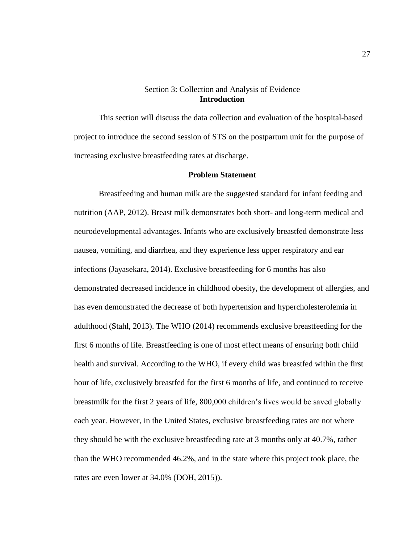# Section 3: Collection and Analysis of Evidence **Introduction**

This section will discuss the data collection and evaluation of the hospital-based project to introduce the second session of STS on the postpartum unit for the purpose of increasing exclusive breastfeeding rates at discharge.

# **Problem Statement**

Breastfeeding and human milk are the suggested standard for infant feeding and nutrition (AAP, 2012). Breast milk demonstrates both short- and long-term medical and neurodevelopmental advantages. Infants who are exclusively breastfed demonstrate less nausea, vomiting, and diarrhea, and they experience less upper respiratory and ear infections (Jayasekara, 2014). Exclusive breastfeeding for 6 months has also demonstrated decreased incidence in childhood obesity, the development of allergies, and has even demonstrated the decrease of both hypertension and hypercholesterolemia in adulthood (Stahl, 2013). The WHO (2014) recommends exclusive breastfeeding for the first 6 months of life. Breastfeeding is one of most effect means of ensuring both child health and survival. According to the WHO, if every child was breastfed within the first hour of life, exclusively breastfed for the first 6 months of life, and continued to receive breastmilk for the first 2 years of life, 800,000 children's lives would be saved globally each year. However, in the United States, exclusive breastfeeding rates are not where they should be with the exclusive breastfeeding rate at 3 months only at 40.7%, rather than the WHO recommended 46.2%, and in the state where this project took place, the rates are even lower at 34.0% (DOH, 2015)).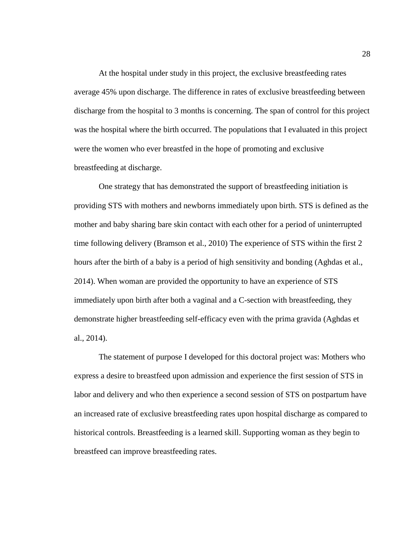At the hospital under study in this project, the exclusive breastfeeding rates average 45% upon discharge. The difference in rates of exclusive breastfeeding between discharge from the hospital to 3 months is concerning. The span of control for this project was the hospital where the birth occurred. The populations that I evaluated in this project were the women who ever breastfed in the hope of promoting and exclusive breastfeeding at discharge.

One strategy that has demonstrated the support of breastfeeding initiation is providing STS with mothers and newborns immediately upon birth. STS is defined as the mother and baby sharing bare skin contact with each other for a period of uninterrupted time following delivery (Bramson et al., 2010) The experience of STS within the first 2 hours after the birth of a baby is a period of high sensitivity and bonding (Aghdas et al., 2014). When woman are provided the opportunity to have an experience of STS immediately upon birth after both a vaginal and a C-section with breastfeeding, they demonstrate higher breastfeeding self-efficacy even with the prima gravida (Aghdas et al., 2014).

The statement of purpose I developed for this doctoral project was: Mothers who express a desire to breastfeed upon admission and experience the first session of STS in labor and delivery and who then experience a second session of STS on postpartum have an increased rate of exclusive breastfeeding rates upon hospital discharge as compared to historical controls. Breastfeeding is a learned skill. Supporting woman as they begin to breastfeed can improve breastfeeding rates.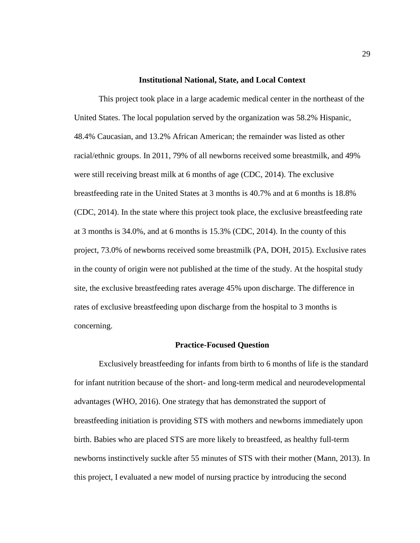#### **Institutional National, State, and Local Context**

This project took place in a large academic medical center in the northeast of the United States. The local population served by the organization was 58.2% Hispanic, 48.4% Caucasian, and 13.2% African American; the remainder was listed as other racial/ethnic groups. In 2011, 79% of all newborns received some breastmilk, and 49% were still receiving breast milk at 6 months of age (CDC, 2014). The exclusive breastfeeding rate in the United States at 3 months is 40.7% and at 6 months is 18.8% (CDC, 2014). In the state where this project took place, the exclusive breastfeeding rate at 3 months is 34.0%, and at 6 months is 15.3% (CDC, 2014). In the county of this project, 73.0% of newborns received some breastmilk (PA, DOH, 2015). Exclusive rates in the county of origin were not published at the time of the study. At the hospital study site, the exclusive breastfeeding rates average 45% upon discharge. The difference in rates of exclusive breastfeeding upon discharge from the hospital to 3 months is concerning.

#### **Practice-Focused Question**

Exclusively breastfeeding for infants from birth to 6 months of life is the standard for infant nutrition because of the short- and long-term medical and neurodevelopmental advantages (WHO, 2016). One strategy that has demonstrated the support of breastfeeding initiation is providing STS with mothers and newborns immediately upon birth. Babies who are placed STS are more likely to breastfeed, as healthy full-term newborns instinctively suckle after 55 minutes of STS with their mother (Mann, 2013). In this project, I evaluated a new model of nursing practice by introducing the second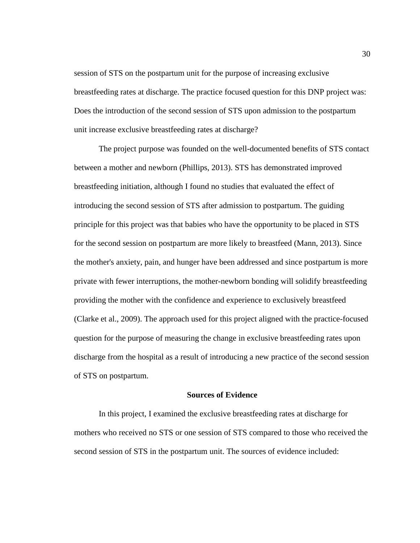session of STS on the postpartum unit for the purpose of increasing exclusive breastfeeding rates at discharge. The practice focused question for this DNP project was: Does the introduction of the second session of STS upon admission to the postpartum unit increase exclusive breastfeeding rates at discharge?

The project purpose was founded on the well-documented benefits of STS contact between a mother and newborn (Phillips, 2013). STS has demonstrated improved breastfeeding initiation, although I found no studies that evaluated the effect of introducing the second session of STS after admission to postpartum. The guiding principle for this project was that babies who have the opportunity to be placed in STS for the second session on postpartum are more likely to breastfeed (Mann, 2013). Since the mother's anxiety, pain, and hunger have been addressed and since postpartum is more private with fewer interruptions, the mother-newborn bonding will solidify breastfeeding providing the mother with the confidence and experience to exclusively breastfeed (Clarke et al., 2009). The approach used for this project aligned with the practice-focused question for the purpose of measuring the change in exclusive breastfeeding rates upon discharge from the hospital as a result of introducing a new practice of the second session of STS on postpartum.

#### **Sources of Evidence**

In this project, I examined the exclusive breastfeeding rates at discharge for mothers who received no STS or one session of STS compared to those who received the second session of STS in the postpartum unit. The sources of evidence included: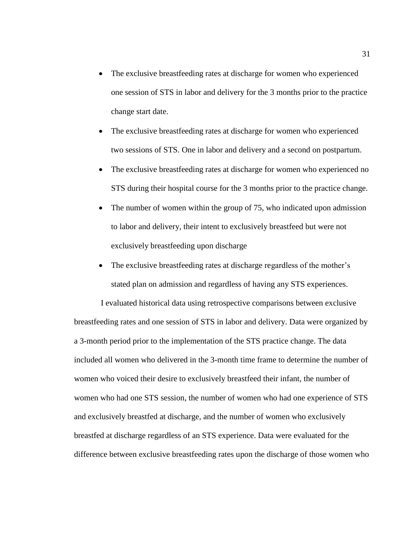- The exclusive breastfeeding rates at discharge for women who experienced one session of STS in labor and delivery for the 3 months prior to the practice change start date.
- The exclusive breastfeeding rates at discharge for women who experienced two sessions of STS. One in labor and delivery and a second on postpartum.
- The exclusive breastfeeding rates at discharge for women who experienced no STS during their hospital course for the 3 months prior to the practice change.
- The number of women within the group of 75, who indicated upon admission to labor and delivery, their intent to exclusively breastfeed but were not exclusively breastfeeding upon discharge
- The exclusive breastfeeding rates at discharge regardless of the mother's stated plan on admission and regardless of having any STS experiences.

I evaluated historical data using retrospective comparisons between exclusive breastfeeding rates and one session of STS in labor and delivery. Data were organized by a 3-month period prior to the implementation of the STS practice change. The data included all women who delivered in the 3-month time frame to determine the number of women who voiced their desire to exclusively breastfeed their infant, the number of women who had one STS session, the number of women who had one experience of STS and exclusively breastfed at discharge, and the number of women who exclusively breastfed at discharge regardless of an STS experience. Data were evaluated for the difference between exclusive breastfeeding rates upon the discharge of those women who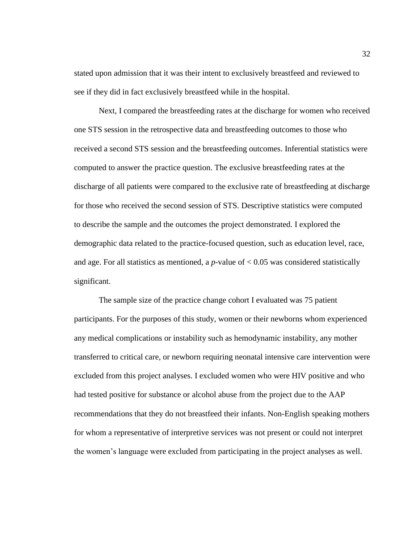stated upon admission that it was their intent to exclusively breastfeed and reviewed to see if they did in fact exclusively breastfeed while in the hospital.

Next, I compared the breastfeeding rates at the discharge for women who received one STS session in the retrospective data and breastfeeding outcomes to those who received a second STS session and the breastfeeding outcomes. Inferential statistics were computed to answer the practice question. The exclusive breastfeeding rates at the discharge of all patients were compared to the exclusive rate of breastfeeding at discharge for those who received the second session of STS. Descriptive statistics were computed to describe the sample and the outcomes the project demonstrated. I explored the demographic data related to the practice-focused question, such as education level, race, and age. For all statistics as mentioned, a *p*-value of  $< 0.05$  was considered statistically significant.

The sample size of the practice change cohort I evaluated was 75 patient participants. For the purposes of this study, women or their newborns whom experienced any medical complications or instability such as hemodynamic instability, any mother transferred to critical care, or newborn requiring neonatal intensive care intervention were excluded from this project analyses. I excluded women who were HIV positive and who had tested positive for substance or alcohol abuse from the project due to the AAP recommendations that they do not breastfeed their infants. Non-English speaking mothers for whom a representative of interpretive services was not present or could not interpret the women's language were excluded from participating in the project analyses as well.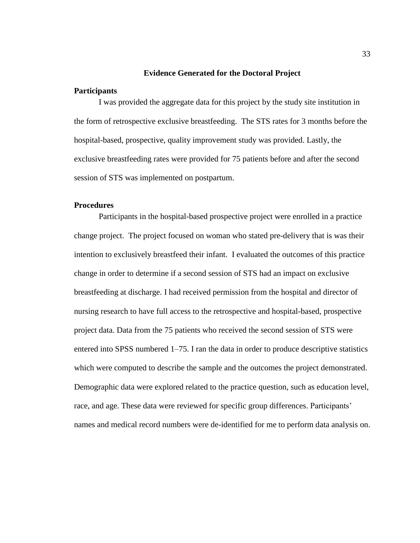#### **Evidence Generated for the Doctoral Project**

# **Participants**

I was provided the aggregate data for this project by the study site institution in the form of retrospective exclusive breastfeeding. The STS rates for 3 months before the hospital-based, prospective, quality improvement study was provided. Lastly, the exclusive breastfeeding rates were provided for 75 patients before and after the second session of STS was implemented on postpartum.

# **Procedures**

Participants in the hospital-based prospective project were enrolled in a practice change project. The project focused on woman who stated pre-delivery that is was their intention to exclusively breastfeed their infant. I evaluated the outcomes of this practice change in order to determine if a second session of STS had an impact on exclusive breastfeeding at discharge. I had received permission from the hospital and director of nursing research to have full access to the retrospective and hospital-based, prospective project data. Data from the 75 patients who received the second session of STS were entered into SPSS numbered 1–75. I ran the data in order to produce descriptive statistics which were computed to describe the sample and the outcomes the project demonstrated. Demographic data were explored related to the practice question, such as education level, race, and age. These data were reviewed for specific group differences. Participants' names and medical record numbers were de-identified for me to perform data analysis on.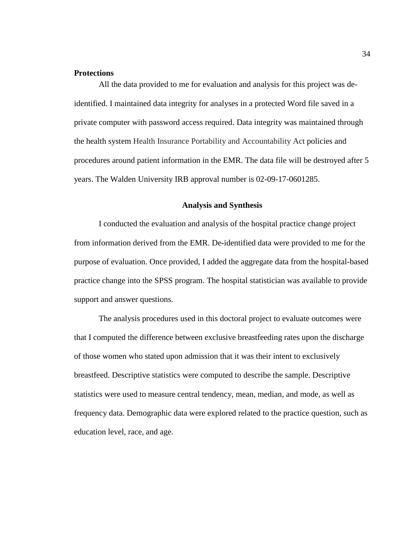# **Protections**

All the data provided to me for evaluation and analysis for this project was deidentified. I maintained data integrity for analyses in a protected Word file saved in a private computer with password access required. Data integrity was maintained through the health system Health Insurance Portability and Accountability Act policies and procedures around patient information in the EMR. The data file will be destroyed after 5 years. The Walden University IRB approval number is 02-09-17-0601285.

### **Analysis and Synthesis**

I conducted the evaluation and analysis of the hospital practice change project from information derived from the EMR. De-identified data were provided to me for the purpose of evaluation. Once provided, I added the aggregate data from the hospital-based practice change into the SPSS program. The hospital statistician was available to provide support and answer questions.

The analysis procedures used in this doctoral project to evaluate outcomes were that I computed the difference between exclusive breastfeeding rates upon the discharge of those women who stated upon admission that it was their intent to exclusively breastfeed. Descriptive statistics were computed to describe the sample. Descriptive statistics were used to measure central tendency, mean, median, and mode, as well as frequency data. Demographic data were explored related to the practice question, such as education level, race, and age.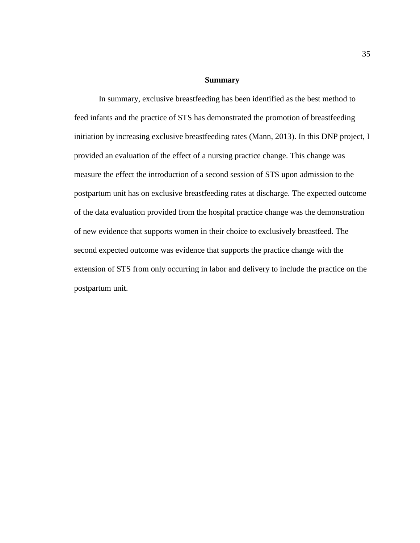#### **Summary**

In summary, exclusive breastfeeding has been identified as the best method to feed infants and the practice of STS has demonstrated the promotion of breastfeeding initiation by increasing exclusive breastfeeding rates (Mann, 2013). In this DNP project, I provided an evaluation of the effect of a nursing practice change. This change was measure the effect the introduction of a second session of STS upon admission to the postpartum unit has on exclusive breastfeeding rates at discharge. The expected outcome of the data evaluation provided from the hospital practice change was the demonstration of new evidence that supports women in their choice to exclusively breastfeed. The second expected outcome was evidence that supports the practice change with the extension of STS from only occurring in labor and delivery to include the practice on the postpartum unit.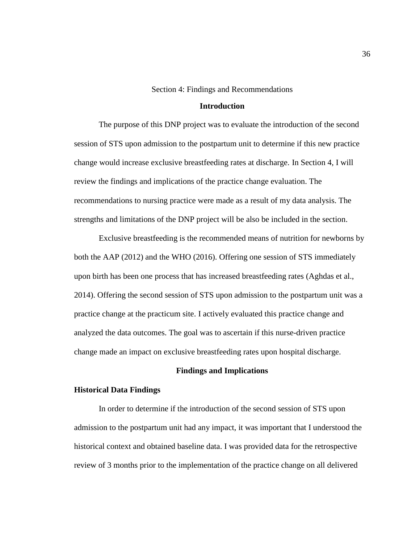Section 4: Findings and Recommendations

## **Introduction**

The purpose of this DNP project was to evaluate the introduction of the second session of STS upon admission to the postpartum unit to determine if this new practice change would increase exclusive breastfeeding rates at discharge. In Section 4, I will review the findings and implications of the practice change evaluation. The recommendations to nursing practice were made as a result of my data analysis. The strengths and limitations of the DNP project will be also be included in the section.

Exclusive breastfeeding is the recommended means of nutrition for newborns by both the AAP (2012) and the WHO (2016). Offering one session of STS immediately upon birth has been one process that has increased breastfeeding rates (Aghdas et al., 2014). Offering the second session of STS upon admission to the postpartum unit was a practice change at the practicum site. I actively evaluated this practice change and analyzed the data outcomes. The goal was to ascertain if this nurse-driven practice change made an impact on exclusive breastfeeding rates upon hospital discharge.

## **Findings and Implications**

### **Historical Data Findings**

In order to determine if the introduction of the second session of STS upon admission to the postpartum unit had any impact, it was important that I understood the historical context and obtained baseline data. I was provided data for the retrospective review of 3 months prior to the implementation of the practice change on all delivered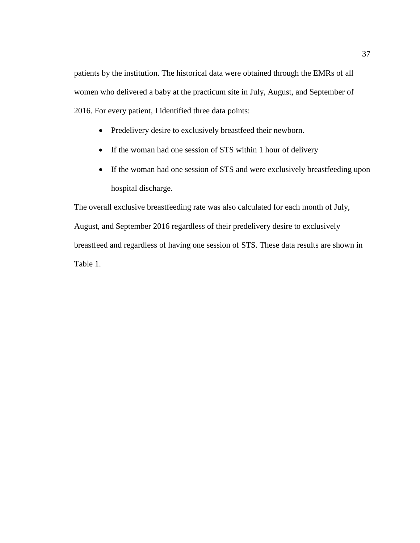patients by the institution. The historical data were obtained through the EMRs of all women who delivered a baby at the practicum site in July, August, and September of 2016. For every patient, I identified three data points:

- Predelivery desire to exclusively breastfeed their newborn.
- If the woman had one session of STS within 1 hour of delivery
- If the woman had one session of STS and were exclusively breastfeeding upon hospital discharge.

The overall exclusive breastfeeding rate was also calculated for each month of July, August, and September 2016 regardless of their predelivery desire to exclusively breastfeed and regardless of having one session of STS. These data results are shown in Table 1.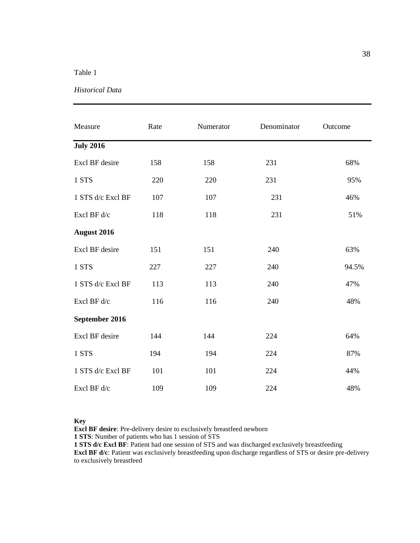# Table 1

## *Historical Data*

| Measure            | Rate | Numerator | Denominator | Outcome |
|--------------------|------|-----------|-------------|---------|
| <b>July 2016</b>   |      |           |             |         |
| Excl BF desire     | 158  | 158       | 231         | 68%     |
| 1 STS              | 220  | 220       | 231         | 95%     |
| 1 STS d/c Excl BF  | 107  | 107       | 231         | 46%     |
| Excl BF d/c        | 118  | 118       | 231         | 51%     |
| <b>August 2016</b> |      |           |             |         |
| Excl BF desire     | 151  | 151       | 240         | 63%     |
| 1 STS              | 227  | 227       | 240         | 94.5%   |
| 1 STS d/c Excl BF  | 113  | 113       | 240         | 47%     |
| Excl BF d/c        | 116  | 116       | 240         | 48%     |
| September 2016     |      |           |             |         |
| Excl BF desire     | 144  | 144       | 224         | 64%     |
| 1 STS              | 194  | 194       | 224         | 87%     |
| 1 STS d/c Excl BF  | 101  | 101       | 224         | 44%     |
| Excl BF d/c        | 109  | 109       | 224         | 48%     |

#### **Key**

**Excl BF desire**: Pre-delivery desire to exclusively breastfeed newborn

**1 STS**: Number of patients who has 1 session of STS

**1 STS d/c Excl BF**: Patient had one session of STS and was discharged exclusively breastfeeding **Excl BF d/c**: Patient was exclusively breastfeeding upon discharge regardless of STS or desire pre-delivery to exclusively breastfeed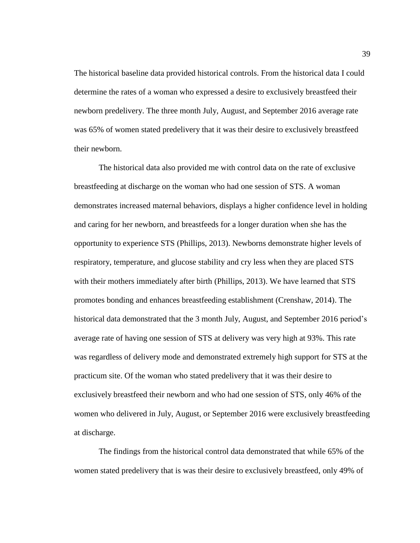The historical baseline data provided historical controls. From the historical data I could determine the rates of a woman who expressed a desire to exclusively breastfeed their newborn predelivery. The three month July, August, and September 2016 average rate was 65% of women stated predelivery that it was their desire to exclusively breastfeed their newborn.

The historical data also provided me with control data on the rate of exclusive breastfeeding at discharge on the woman who had one session of STS. A woman demonstrates increased maternal behaviors, displays a higher confidence level in holding and caring for her newborn, and breastfeeds for a longer duration when she has the opportunity to experience STS (Phillips, 2013). Newborns demonstrate higher levels of respiratory, temperature, and glucose stability and cry less when they are placed STS with their mothers immediately after birth (Phillips, 2013). We have learned that STS promotes bonding and enhances breastfeeding establishment (Crenshaw, 2014). The historical data demonstrated that the 3 month July, August, and September 2016 period's average rate of having one session of STS at delivery was very high at 93%. This rate was regardless of delivery mode and demonstrated extremely high support for STS at the practicum site. Of the woman who stated predelivery that it was their desire to exclusively breastfeed their newborn and who had one session of STS, only 46% of the women who delivered in July, August, or September 2016 were exclusively breastfeeding at discharge.

The findings from the historical control data demonstrated that while 65% of the women stated predelivery that is was their desire to exclusively breastfeed, only 49% of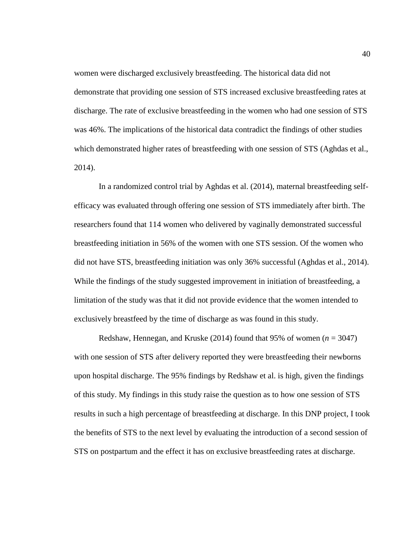women were discharged exclusively breastfeeding. The historical data did not demonstrate that providing one session of STS increased exclusive breastfeeding rates at discharge. The rate of exclusive breastfeeding in the women who had one session of STS was 46%. The implications of the historical data contradict the findings of other studies which demonstrated higher rates of breastfeeding with one session of STS (Aghdas et al., 2014).

In a randomized control trial by Aghdas et al. (2014), maternal breastfeeding selfefficacy was evaluated through offering one session of STS immediately after birth. The researchers found that 114 women who delivered by vaginally demonstrated successful breastfeeding initiation in 56% of the women with one STS session. Of the women who did not have STS, breastfeeding initiation was only 36% successful (Aghdas et al., 2014). While the findings of the study suggested improvement in initiation of breastfeeding, a limitation of the study was that it did not provide evidence that the women intended to exclusively breastfeed by the time of discharge as was found in this study.

Redshaw, Hennegan, and Kruske (2014) found that 95% of women  $(n = 3047)$ with one session of STS after delivery reported they were breastfeeding their newborns upon hospital discharge. The 95% findings by Redshaw et al. is high, given the findings of this study. My findings in this study raise the question as to how one session of STS results in such a high percentage of breastfeeding at discharge. In this DNP project, I took the benefits of STS to the next level by evaluating the introduction of a second session of STS on postpartum and the effect it has on exclusive breastfeeding rates at discharge.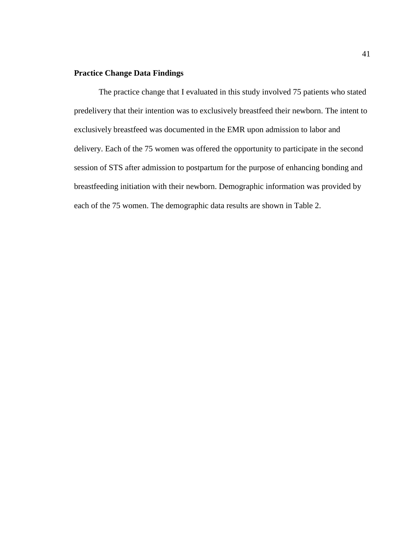# **Practice Change Data Findings**

The practice change that I evaluated in this study involved 75 patients who stated predelivery that their intention was to exclusively breastfeed their newborn. The intent to exclusively breastfeed was documented in the EMR upon admission to labor and delivery. Each of the 75 women was offered the opportunity to participate in the second session of STS after admission to postpartum for the purpose of enhancing bonding and breastfeeding initiation with their newborn. Demographic information was provided by each of the 75 women. The demographic data results are shown in Table 2.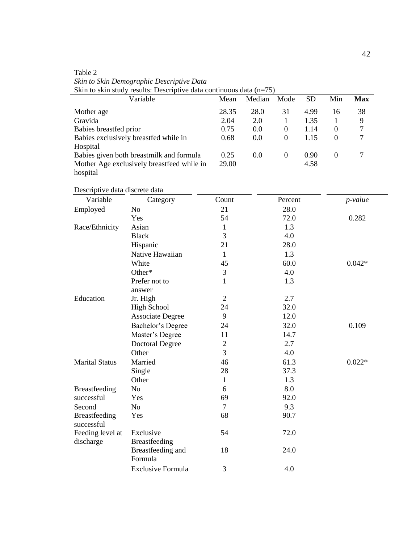Table 2 *Skin to Skin Demographic Descriptive Data* Skin to skin study results: Descriptive data continuous data (n=75)

| Variable                                   | Mean  | Median | Mode     | SD   | Min      | Max |
|--------------------------------------------|-------|--------|----------|------|----------|-----|
| Mother age                                 | 28.35 | 28.0   | 31       | 4.99 | 16       | 38  |
| Gravida                                    | 2.04  | 2.0    |          | 1.35 |          | 9   |
| Babies breastfed prior                     | 0.75  | 0.0    | $\theta$ | 1.14 | $\theta$ |     |
| Babies exclusively breastfed while in      | 0.68  | 0.0    | $\Omega$ | 1.15 | $\theta$ |     |
| Hospital                                   |       |        |          |      |          |     |
| Babies given both breastmilk and formula   | 0.25  | 0.0    | $\Omega$ | 0.90 | $\Omega$ |     |
| Mother Age exclusively breastfeed while in | 29.00 |        |          | 4.58 |          |     |
| hospital                                   |       |        |          |      |          |     |

Descriptive data discrete data

| Variable                           | Category                          | Count          | Percent | p-value  |
|------------------------------------|-----------------------------------|----------------|---------|----------|
| Employed                           | No                                | 21             | 28.0    |          |
|                                    | Yes                               | 54             | 72.0    | 0.282    |
| Race/Ethnicity                     | Asian                             | 1              | 1.3     |          |
|                                    | <b>Black</b>                      | 3              | 4.0     |          |
|                                    | Hispanic                          | 21             | 28.0    |          |
|                                    | Native Hawaiian                   | 1              | 1.3     |          |
|                                    | White                             | 45             | 60.0    | $0.042*$ |
|                                    | Other*                            | 3              | 4.0     |          |
|                                    | Prefer not to<br>answer           | 1              | 1.3     |          |
| Education                          | Jr. High                          | $\overline{2}$ | 2.7     |          |
|                                    | <b>High School</b>                | 24             | 32.0    |          |
|                                    | <b>Associate Degree</b>           | 9              | 12.0    |          |
|                                    | Bachelor's Degree                 | 24             | 32.0    | 0.109    |
|                                    | Master's Degree                   | 11             | 14.7    |          |
|                                    | <b>Doctoral Degree</b>            | $\overline{c}$ | 2.7     |          |
|                                    | Other                             | 3              | 4.0     |          |
| <b>Marital Status</b>              | Married                           | 46             | 61.3    | $0.022*$ |
|                                    | Single                            | 28             | 37.3    |          |
|                                    | Other                             | $\mathbf{1}$   | 1.3     |          |
| <b>Breastfeeding</b>               | N <sub>o</sub>                    | 6              | 8.0     |          |
| successful                         | Yes                               | 69             | 92.0    |          |
| Second                             | N <sub>o</sub>                    | $\overline{7}$ | 9.3     |          |
| <b>Breastfeeding</b><br>successful | Yes                               | 68             | 90.7    |          |
| Feeding level at<br>discharge      | Exclusive<br><b>Breastfeeding</b> | 54             | 72.0    |          |
|                                    | Breastfeeding and<br>Formula      | 18             | 24.0    |          |
|                                    | <b>Exclusive Formula</b>          | 3              | 4.0     |          |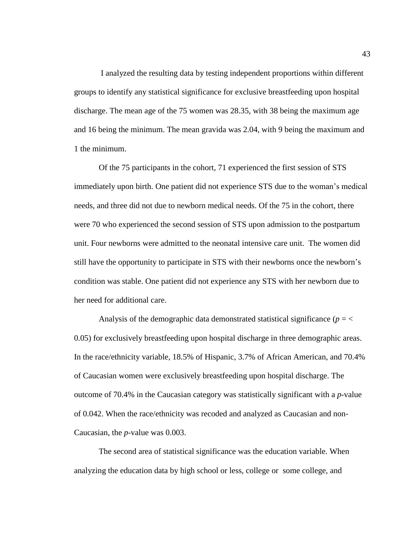I analyzed the resulting data by testing independent proportions within different groups to identify any statistical significance for exclusive breastfeeding upon hospital discharge. The mean age of the 75 women was 28.35, with 38 being the maximum age and 16 being the minimum. The mean gravida was 2.04, with 9 being the maximum and 1 the minimum.

Of the 75 participants in the cohort, 71 experienced the first session of STS immediately upon birth. One patient did not experience STS due to the woman's medical needs, and three did not due to newborn medical needs. Of the 75 in the cohort, there were 70 who experienced the second session of STS upon admission to the postpartum unit. Four newborns were admitted to the neonatal intensive care unit. The women did still have the opportunity to participate in STS with their newborns once the newborn's condition was stable. One patient did not experience any STS with her newborn due to her need for additional care.

Analysis of the demographic data demonstrated statistical significance ( $p = \langle$ 0.05) for exclusively breastfeeding upon hospital discharge in three demographic areas. In the race/ethnicity variable, 18.5% of Hispanic, 3.7% of African American, and 70.4% of Caucasian women were exclusively breastfeeding upon hospital discharge. The outcome of 70.4% in the Caucasian category was statistically significant with a *p-*value of 0.042. When the race/ethnicity was recoded and analyzed as Caucasian and non-Caucasian, the *p-*value was 0.003.

The second area of statistical significance was the education variable. When analyzing the education data by high school or less, college or some college, and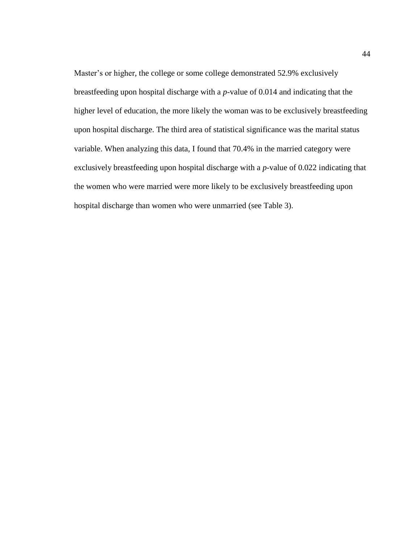Master's or higher, the college or some college demonstrated 52.9% exclusively breastfeeding upon hospital discharge with a *p-*value of 0.014 and indicating that the higher level of education, the more likely the woman was to be exclusively breastfeeding upon hospital discharge. The third area of statistical significance was the marital status variable. When analyzing this data, I found that 70.4% in the married category were exclusively breastfeeding upon hospital discharge with a *p-*value of 0.022 indicating that the women who were married were more likely to be exclusively breastfeeding upon hospital discharge than women who were unmarried (see Table 3).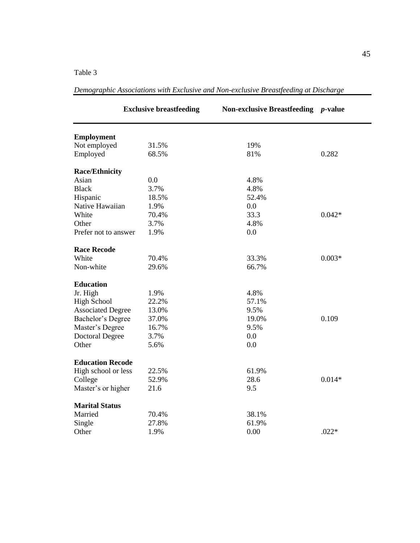Table 3

|                          | <b>Exclusive breastfeeding</b> | Non-exclusive Breastfeeding p-value |          |
|--------------------------|--------------------------------|-------------------------------------|----------|
| <b>Employment</b>        |                                |                                     |          |
| Not employed             | 31.5%                          | 19%                                 |          |
| Employed                 | 68.5%                          | 81%                                 | 0.282    |
| <b>Race/Ethnicity</b>    |                                |                                     |          |
| Asian                    | 0.0                            | 4.8%                                |          |
| <b>Black</b>             | 3.7%                           | 4.8%                                |          |
| Hispanic                 | 18.5%                          | 52.4%                               |          |
| Native Hawaiian          | 1.9%                           | 0.0                                 |          |
| White                    | 70.4%                          | 33.3                                | $0.042*$ |
| Other                    | 3.7%                           | 4.8%                                |          |
| Prefer not to answer     | 1.9%                           | 0.0                                 |          |
| <b>Race Recode</b>       |                                |                                     |          |
| White                    | 70.4%                          | 33.3%                               | $0.003*$ |
| Non-white                | 29.6%                          | 66.7%                               |          |
| <b>Education</b>         |                                |                                     |          |
| Jr. High                 | 1.9%                           | 4.8%                                |          |
| <b>High School</b>       | 22.2%                          | 57.1%                               |          |
| <b>Associated Degree</b> | 13.0%                          | 9.5%                                |          |
| Bachelor's Degree        | 37.0%                          | 19.0%                               | 0.109    |
| Master's Degree          | 16.7%                          | 9.5%                                |          |
| <b>Doctoral Degree</b>   | 3.7%                           | 0.0                                 |          |
| Other                    | 5.6%                           | 0.0                                 |          |
| <b>Education Recode</b>  |                                |                                     |          |
| High school or less      | 22.5%                          | 61.9%                               |          |
| College                  | 52.9%                          | 28.6                                | $0.014*$ |
| Master's or higher       | 21.6                           | 9.5                                 |          |
| <b>Marital Status</b>    |                                |                                     |          |
| Married                  | 70.4%                          | 38.1%                               |          |
| Single                   | 27.8%                          | 61.9%                               |          |
| Other                    | 1.9%                           | 0.00                                | $.022*$  |

*Demographic Associations with Exclusive and Non-exclusive Breastfeeding at Discharge*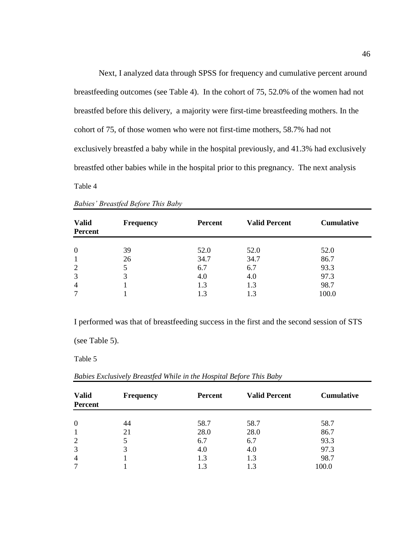Next, I analyzed data through SPSS for frequency and cumulative percent around breastfeeding outcomes (see Table 4). In the cohort of 75, 52.0% of the women had not breastfed before this delivery, a majority were first-time breastfeeding mothers. In the cohort of 75, of those women who were not first-time mothers, 58.7% had not exclusively breastfed a baby while in the hospital previously, and 41.3% had exclusively breastfed other babies while in the hospital prior to this pregnancy. The next analysis

Table 4

| <b>Valid</b><br><b>Percent</b> | <b>Frequency</b> | <b>Percent</b> | <b>Valid Percent</b> | <b>Cumulative</b> |
|--------------------------------|------------------|----------------|----------------------|-------------------|
| $\overline{0}$                 | 39               | 52.0           | 52.0                 | 52.0              |
|                                | 26               | 34.7           | 34.7                 | 86.7              |
| 2                              |                  | 6.7            | 6.7                  | 93.3              |
| 3                              | 3                | 4.0            | 4.0                  | 97.3              |
| $\overline{4}$                 |                  | 1.3            | 1.3                  | 98.7              |
| ⇁                              |                  | 1.3            |                      | 100.0             |

| <b>Babies' Breastfed Before This Baby</b> |  |  |
|-------------------------------------------|--|--|
|                                           |  |  |

I performed was that of breastfeeding success in the first and the second session of STS

(see Table 5).

Table 5

|  | Babies Exclusively Breastfed While in the Hospital Before This Baby |  |  |
|--|---------------------------------------------------------------------|--|--|

| <b>Valid</b><br><b>Percent</b> | <b>Frequency</b> | <b>Percent</b> | <b>Valid Percent</b> | <b>Cumulative</b> |
|--------------------------------|------------------|----------------|----------------------|-------------------|
|                                |                  |                |                      |                   |
| $\overline{0}$                 | 44               | 58.7           | 58.7                 | 58.7              |
| $\mathbf{1}$                   | 21               | 28.0           | 28.0                 | 86.7              |
| $\overline{2}$                 |                  | 6.7            | 6.7                  | 93.3              |
| 3                              | 3                | 4.0            | 4.0                  | 97.3              |
| $\overline{4}$                 |                  | 1.3            | 1.3                  | 98.7              |
| 7                              |                  | 1.3            | 1.3                  | 100.0             |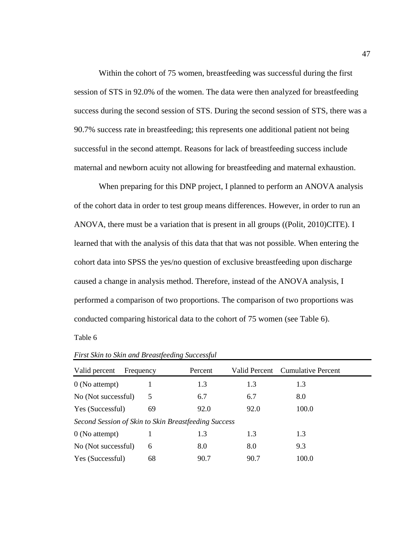Within the cohort of 75 women, breastfeeding was successful during the first session of STS in 92.0% of the women. The data were then analyzed for breastfeeding success during the second session of STS. During the second session of STS, there was a 90.7% success rate in breastfeeding; this represents one additional patient not being successful in the second attempt. Reasons for lack of breastfeeding success include maternal and newborn acuity not allowing for breastfeeding and maternal exhaustion.

When preparing for this DNP project, I planned to perform an ANOVA analysis of the cohort data in order to test group means differences. However, in order to run an ANOVA, there must be a variation that is present in all groups ((Polit, 2010)CITE). I learned that with the analysis of this data that that was not possible. When entering the cohort data into SPSS the yes/no question of exclusive breastfeeding upon discharge caused a change in analysis method. Therefore, instead of the ANOVA analysis, I performed a comparison of two proportions. The comparison of two proportions was conducted comparing historical data to the cohort of 75 women (see Table 6).

Table 6

| Valid percent                                        | Frequency | Percent | Valid Percent | Cumulative Percent |  |
|------------------------------------------------------|-----------|---------|---------------|--------------------|--|
| $0$ (No attempt)                                     |           | 1.3     | 1.3           | 1.3                |  |
| No (Not successful)                                  | 5         | 6.7     | 6.7           | 8.0                |  |
| Yes (Successful)                                     | 69        | 92.0    | 92.0          | 100.0              |  |
| Second Session of Skin to Skin Breastfeeding Success |           |         |               |                    |  |
| $0$ (No attempt)                                     |           | 1.3     | 1.3           | 1.3                |  |
| No (Not successful)                                  | 6         | 8.0     | 8.0           | 9.3                |  |
| Yes (Successful)                                     | 68        | 90.7    | 90.7          | 100.0              |  |

*First Skin to Skin and Breastfeeding Successful*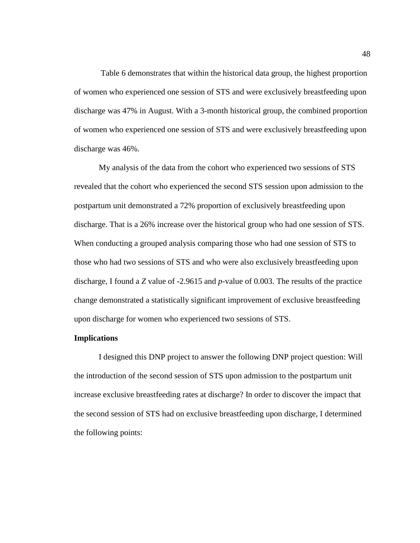Table 6 demonstrates that within the historical data group, the highest proportion of women who experienced one session of STS and were exclusively breastfeeding upon discharge was 47% in August. With a 3-month historical group, the combined proportion of women who experienced one session of STS and were exclusively breastfeeding upon discharge was 46%.

My analysis of the data from the cohort who experienced two sessions of STS revealed that the cohort who experienced the second STS session upon admission to the postpartum unit demonstrated a 72% proportion of exclusively breastfeeding upon discharge. That is a 26% increase over the historical group who had one session of STS. When conducting a grouped analysis comparing those who had one session of STS to those who had two sessions of STS and who were also exclusively breastfeeding upon discharge, I found a *Z* value of -2.9615 and *p*-value of 0.003. The results of the practice change demonstrated a statistically significant improvement of exclusive breastfeeding upon discharge for women who experienced two sessions of STS.

#### **Implications**

I designed this DNP project to answer the following DNP project question: Will the introduction of the second session of STS upon admission to the postpartum unit increase exclusive breastfeeding rates at discharge? In order to discover the impact that the second session of STS had on exclusive breastfeeding upon discharge, I determined the following points: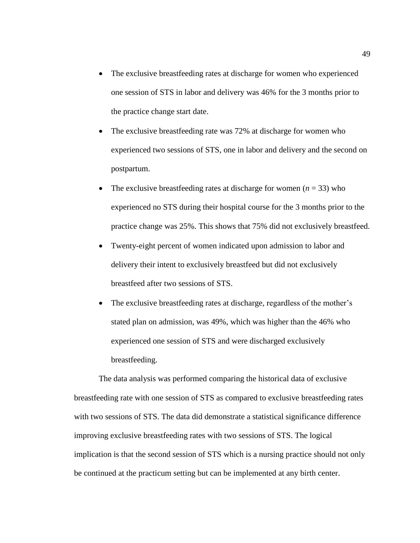- The exclusive breastfeeding rates at discharge for women who experienced one session of STS in labor and delivery was 46% for the 3 months prior to the practice change start date.
- The exclusive breastfeeding rate was 72% at discharge for women who experienced two sessions of STS, one in labor and delivery and the second on postpartum.
- The exclusive breastfeeding rates at discharge for women  $(n = 33)$  who experienced no STS during their hospital course for the 3 months prior to the practice change was 25%. This shows that 75% did not exclusively breastfeed.
- Twenty-eight percent of women indicated upon admission to labor and delivery their intent to exclusively breastfeed but did not exclusively breastfeed after two sessions of STS.
- The exclusive breastfeeding rates at discharge, regardless of the mother's stated plan on admission, was 49%, which was higher than the 46% who experienced one session of STS and were discharged exclusively breastfeeding.

The data analysis was performed comparing the historical data of exclusive breastfeeding rate with one session of STS as compared to exclusive breastfeeding rates with two sessions of STS. The data did demonstrate a statistical significance difference improving exclusive breastfeeding rates with two sessions of STS. The logical implication is that the second session of STS which is a nursing practice should not only be continued at the practicum setting but can be implemented at any birth center.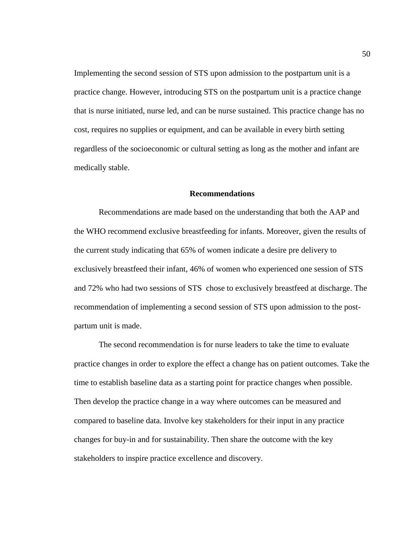Implementing the second session of STS upon admission to the postpartum unit is a practice change. However, introducing STS on the postpartum unit is a practice change that is nurse initiated, nurse led, and can be nurse sustained. This practice change has no cost, requires no supplies or equipment, and can be available in every birth setting regardless of the socioeconomic or cultural setting as long as the mother and infant are medically stable.

## **Recommendations**

Recommendations are made based on the understanding that both the AAP and the WHO recommend exclusive breastfeeding for infants. Moreover, given the results of the current study indicating that 65% of women indicate a desire pre delivery to exclusively breastfeed their infant, 46% of women who experienced one session of STS and 72% who had two sessions of STS chose to exclusively breastfeed at discharge. The recommendation of implementing a second session of STS upon admission to the postpartum unit is made.

The second recommendation is for nurse leaders to take the time to evaluate practice changes in order to explore the effect a change has on patient outcomes. Take the time to establish baseline data as a starting point for practice changes when possible. Then develop the practice change in a way where outcomes can be measured and compared to baseline data. Involve key stakeholders for their input in any practice changes for buy-in and for sustainability. Then share the outcome with the key stakeholders to inspire practice excellence and discovery.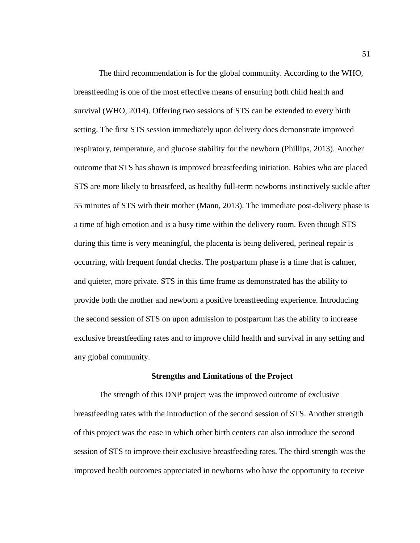The third recommendation is for the global community. According to the WHO, breastfeeding is one of the most effective means of ensuring both child health and survival (WHO, 2014). Offering two sessions of STS can be extended to every birth setting. The first STS session immediately upon delivery does demonstrate improved respiratory, temperature, and glucose stability for the newborn (Phillips, 2013). Another outcome that STS has shown is improved breastfeeding initiation. Babies who are placed STS are more likely to breastfeed, as healthy full-term newborns instinctively suckle after 55 minutes of STS with their mother (Mann, 2013). The immediate post-delivery phase is a time of high emotion and is a busy time within the delivery room. Even though STS during this time is very meaningful, the placenta is being delivered, perineal repair is occurring, with frequent fundal checks. The postpartum phase is a time that is calmer, and quieter, more private. STS in this time frame as demonstrated has the ability to provide both the mother and newborn a positive breastfeeding experience. Introducing the second session of STS on upon admission to postpartum has the ability to increase exclusive breastfeeding rates and to improve child health and survival in any setting and any global community.

#### **Strengths and Limitations of the Project**

The strength of this DNP project was the improved outcome of exclusive breastfeeding rates with the introduction of the second session of STS. Another strength of this project was the ease in which other birth centers can also introduce the second session of STS to improve their exclusive breastfeeding rates. The third strength was the improved health outcomes appreciated in newborns who have the opportunity to receive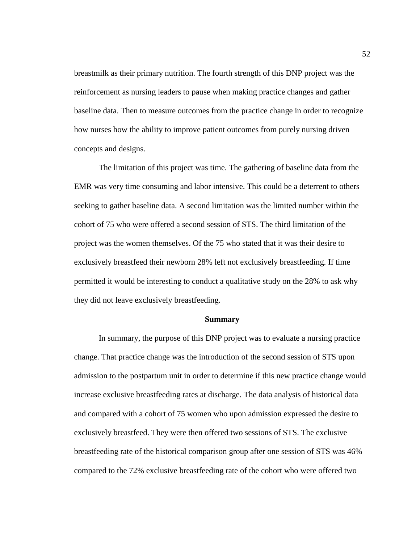breastmilk as their primary nutrition. The fourth strength of this DNP project was the reinforcement as nursing leaders to pause when making practice changes and gather baseline data. Then to measure outcomes from the practice change in order to recognize how nurses how the ability to improve patient outcomes from purely nursing driven concepts and designs.

The limitation of this project was time. The gathering of baseline data from the EMR was very time consuming and labor intensive. This could be a deterrent to others seeking to gather baseline data. A second limitation was the limited number within the cohort of 75 who were offered a second session of STS. The third limitation of the project was the women themselves. Of the 75 who stated that it was their desire to exclusively breastfeed their newborn 28% left not exclusively breastfeeding. If time permitted it would be interesting to conduct a qualitative study on the 28% to ask why they did not leave exclusively breastfeeding.

#### **Summary**

In summary, the purpose of this DNP project was to evaluate a nursing practice change. That practice change was the introduction of the second session of STS upon admission to the postpartum unit in order to determine if this new practice change would increase exclusive breastfeeding rates at discharge. The data analysis of historical data and compared with a cohort of 75 women who upon admission expressed the desire to exclusively breastfeed. They were then offered two sessions of STS. The exclusive breastfeeding rate of the historical comparison group after one session of STS was 46% compared to the 72% exclusive breastfeeding rate of the cohort who were offered two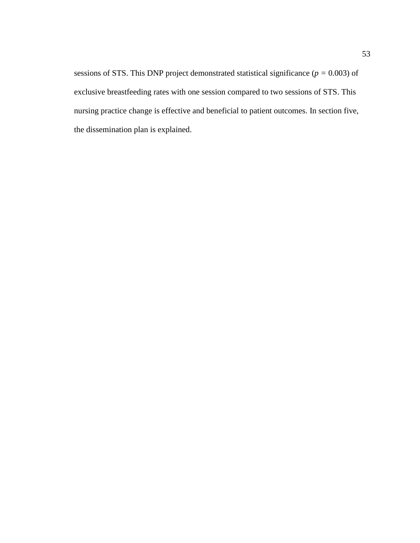sessions of STS. This DNP project demonstrated statistical significance (*p =* 0.003) of exclusive breastfeeding rates with one session compared to two sessions of STS. This nursing practice change is effective and beneficial to patient outcomes. In section five, the dissemination plan is explained.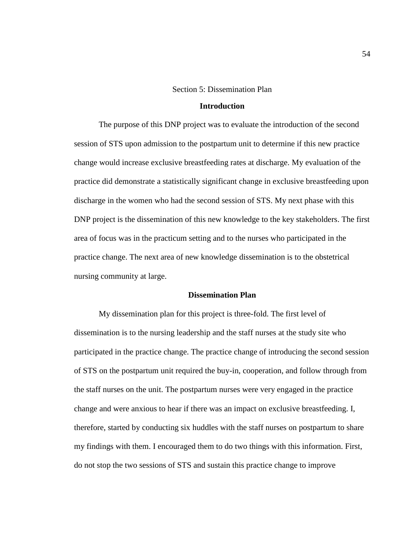#### Section 5: Dissemination Plan

## **Introduction**

The purpose of this DNP project was to evaluate the introduction of the second session of STS upon admission to the postpartum unit to determine if this new practice change would increase exclusive breastfeeding rates at discharge. My evaluation of the practice did demonstrate a statistically significant change in exclusive breastfeeding upon discharge in the women who had the second session of STS. My next phase with this DNP project is the dissemination of this new knowledge to the key stakeholders. The first area of focus was in the practicum setting and to the nurses who participated in the practice change. The next area of new knowledge dissemination is to the obstetrical nursing community at large.

## **Dissemination Plan**

My dissemination plan for this project is three-fold. The first level of dissemination is to the nursing leadership and the staff nurses at the study site who participated in the practice change. The practice change of introducing the second session of STS on the postpartum unit required the buy-in, cooperation, and follow through from the staff nurses on the unit. The postpartum nurses were very engaged in the practice change and were anxious to hear if there was an impact on exclusive breastfeeding. I, therefore, started by conducting six huddles with the staff nurses on postpartum to share my findings with them. I encouraged them to do two things with this information. First, do not stop the two sessions of STS and sustain this practice change to improve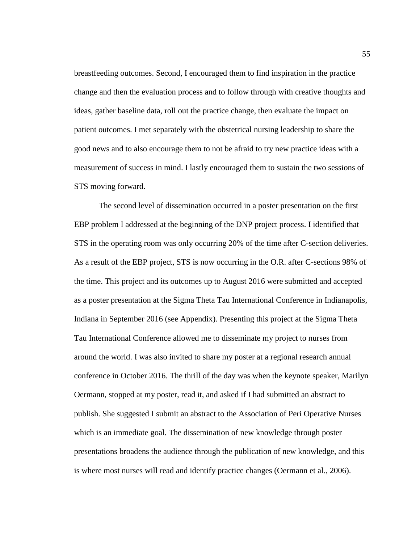breastfeeding outcomes. Second, I encouraged them to find inspiration in the practice change and then the evaluation process and to follow through with creative thoughts and ideas, gather baseline data, roll out the practice change, then evaluate the impact on patient outcomes. I met separately with the obstetrical nursing leadership to share the good news and to also encourage them to not be afraid to try new practice ideas with a measurement of success in mind. I lastly encouraged them to sustain the two sessions of STS moving forward.

The second level of dissemination occurred in a poster presentation on the first EBP problem I addressed at the beginning of the DNP project process. I identified that STS in the operating room was only occurring 20% of the time after C-section deliveries. As a result of the EBP project, STS is now occurring in the O.R. after C-sections 98% of the time. This project and its outcomes up to August 2016 were submitted and accepted as a poster presentation at the Sigma Theta Tau International Conference in Indianapolis, Indiana in September 2016 (see Appendix). Presenting this project at the Sigma Theta Tau International Conference allowed me to disseminate my project to nurses from around the world. I was also invited to share my poster at a regional research annual conference in October 2016. The thrill of the day was when the keynote speaker, Marilyn Oermann, stopped at my poster, read it, and asked if I had submitted an abstract to publish. She suggested I submit an abstract to the Association of Peri Operative Nurses which is an immediate goal. The dissemination of new knowledge through poster presentations broadens the audience through the publication of new knowledge, and this is where most nurses will read and identify practice changes (Oermann et al., 2006).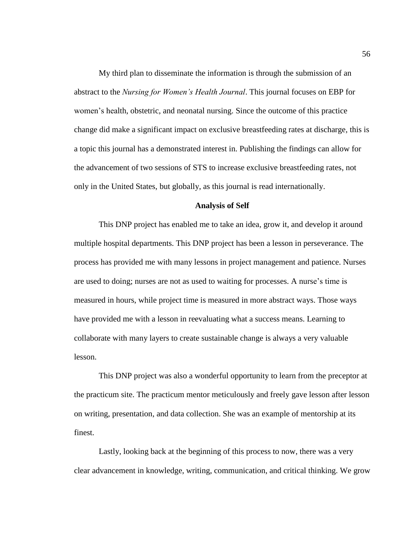My third plan to disseminate the information is through the submission of an abstract to the *Nursing for Women's Health Journal*. This journal focuses on EBP for women's health, obstetric, and neonatal nursing. Since the outcome of this practice change did make a significant impact on exclusive breastfeeding rates at discharge, this is a topic this journal has a demonstrated interest in. Publishing the findings can allow for the advancement of two sessions of STS to increase exclusive breastfeeding rates, not only in the United States, but globally, as this journal is read internationally.

### **Analysis of Self**

This DNP project has enabled me to take an idea, grow it, and develop it around multiple hospital departments. This DNP project has been a lesson in perseverance. The process has provided me with many lessons in project management and patience. Nurses are used to doing; nurses are not as used to waiting for processes. A nurse's time is measured in hours, while project time is measured in more abstract ways. Those ways have provided me with a lesson in reevaluating what a success means. Learning to collaborate with many layers to create sustainable change is always a very valuable lesson.

This DNP project was also a wonderful opportunity to learn from the preceptor at the practicum site. The practicum mentor meticulously and freely gave lesson after lesson on writing, presentation, and data collection. She was an example of mentorship at its finest.

Lastly, looking back at the beginning of this process to now, there was a very clear advancement in knowledge, writing, communication, and critical thinking. We grow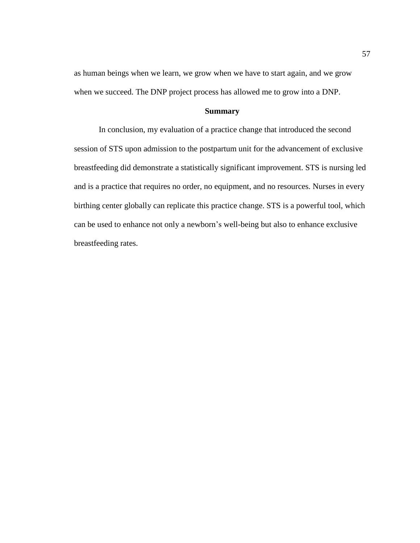as human beings when we learn, we grow when we have to start again, and we grow when we succeed. The DNP project process has allowed me to grow into a DNP.

## **Summary**

In conclusion, my evaluation of a practice change that introduced the second session of STS upon admission to the postpartum unit for the advancement of exclusive breastfeeding did demonstrate a statistically significant improvement. STS is nursing led and is a practice that requires no order, no equipment, and no resources. Nurses in every birthing center globally can replicate this practice change. STS is a powerful tool, which can be used to enhance not only a newborn's well-being but also to enhance exclusive breastfeeding rates.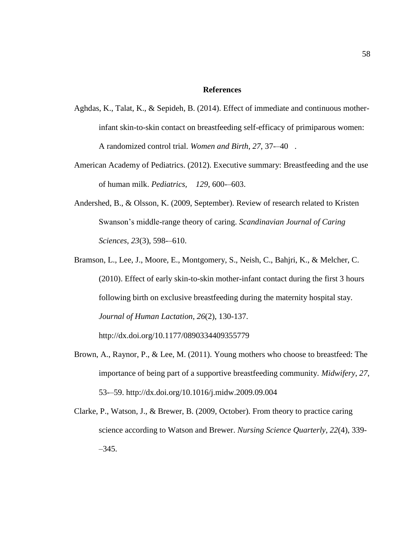## **References**

- Aghdas, K., Talat, K., & Sepideh, B. (2014). Effect of immediate and continuous motherinfant skin-to-skin contact on breastfeeding self-efficacy of primiparous women: A randomized control trial. *Women and Birth*, *27*, 37-–40.
- American Academy of Pediatrics. (2012). Executive summary: Breastfeeding and the use of human milk. *Pediatrics, 129*, 600-–603.
- Andershed, B., & Olsson, K. (2009, September). Review of research related to Kristen Swanson's middle-range theory of caring. *Scandinavian Journal of Caring Sciences*, *23*(3), 598-–610.
- Bramson, L., Lee, J., Moore, E., Montgomery, S., Neish, C., Bahjri, K., & Melcher, C. (2010). Effect of early skin-to-skin mother-infant contact during the first 3 hours following birth on exclusive breastfeeding during the maternity hospital stay. *Journal of Human Lactation*, *26*(2), 130-137. http://dx.doi.org/10.1177/0890334409355779
- Brown, A., Raynor, P., & Lee, M. (2011). Young mothers who choose to breastfeed: The importance of being part of a supportive breastfeeding community. *Midwifery*, *27*, 53-–59. http://dx.doi.org/10.1016/j.midw.2009.09.004
- Clarke, P., Watson, J., & Brewer, B. (2009, October). From theory to practice caring science according to Watson and Brewer. *Nursing Science Quarterly*, *22*(4), 339- –345.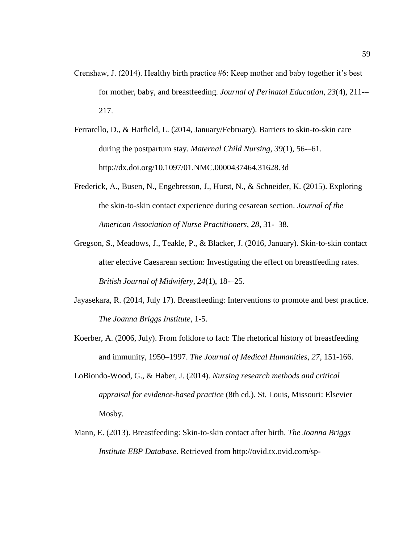- Crenshaw, J. (2014). Healthy birth practice #6: Keep mother and baby together it's best for mother, baby, and breastfeeding. *Journal of Perinatal Education*, *23*(4), 211-– 217.
- Ferrarello, D., & Hatfield, L. (2014, January/February). Barriers to skin-to-skin care during the postpartum stay. *Maternal Child Nursing*, *39*(1), 56-–61. http://dx.doi.org/10.1097/01.NMC.0000437464.31628.3d
- Frederick, A., Busen, N., Engebretson, J., Hurst, N., & Schneider, K. (2015). Exploring the skin-to-skin contact experience during cesarean section. *Journal of the American Association of Nurse Practitioners*, *28*, 31-–38.
- Gregson, S., Meadows, J., Teakle, P., & Blacker, J. (2016, January). Skin-to-skin contact after elective Caesarean section: Investigating the effect on breastfeeding rates. *British Journal of Midwifery*, *24*(1), 18-–25.
- Jayasekara, R. (2014, July 17). Breastfeeding: Interventions to promote and best practice. *The Joanna Briggs Institute*, 1-5.
- Koerber, A. (2006, July). From folklore to fact: The rhetorical history of breastfeeding and immunity, 1950–1997. *The Journal of Medical Humanities*, *27*, 151-166.
- LoBiondo-Wood, G., & Haber, J. (2014). *Nursing research methods and critical appraisal for evidence-based practice* (8th ed.). St. Louis, Missouri: Elsevier Mosby.
- Mann, E. (2013). Breastfeeding: Skin-to-skin contact after birth. *The Joanna Briggs Institute EBP Database*. Retrieved from http://ovid.tx.ovid.com/sp-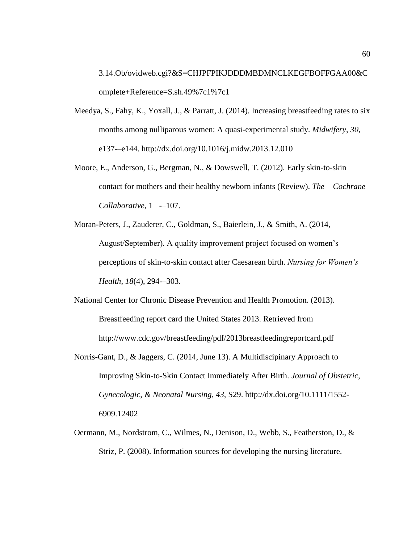3.14.Ob/ovidweb.cgi?&S=CHJPFPIKJDDDMBDMNCLKEGFBOFFGAA00&C omplete+Reference=S.sh.49%7c1%7c1

- Meedya, S., Fahy, K., Yoxall, J., & Parratt, J. (2014). Increasing breastfeeding rates to six months among nulliparous women: A quasi-experimental study. *Midwifery*, *30*, e137-–e144. http://dx.doi.org/10.1016/j.midw.2013.12.010
- Moore, E., Anderson, G., Bergman, N., & Dowswell, T. (2012). Early skin-to-skin contact for mothers and their healthy newborn infants (Review). *The Cochrane Collaborative*, 1 -–107.
- Moran-Peters, J., Zauderer, C., Goldman, S., Baierlein, J., & Smith, A. (2014, August/September). A quality improvement project focused on women's perceptions of skin-to-skin contact after Caesarean birth. *Nursing for Women's Health*, *18*(4), 294-–303.
- National Center for Chronic Disease Prevention and Health Promotion. (2013). Breastfeeding report card the United States 2013. Retrieved from http://www.cdc.gov/breastfeeding/pdf/2013breastfeedingreportcard.pdf
- Norris-Gant, D., & Jaggers, C. (2014, June 13). A Multidiscipinary Approach to Improving Skin-to-Skin Contact Immediately After Birth. *Journal of Obstetric, Gynecologic, & Neonatal Nursing*, *43*, S29. http://dx.doi.org/10.1111/1552- 6909.12402
- Oermann, M., Nordstrom, C., Wilmes, N., Denison, D., Webb, S., Featherston, D., & Striz, P. (2008). Information sources for developing the nursing literature.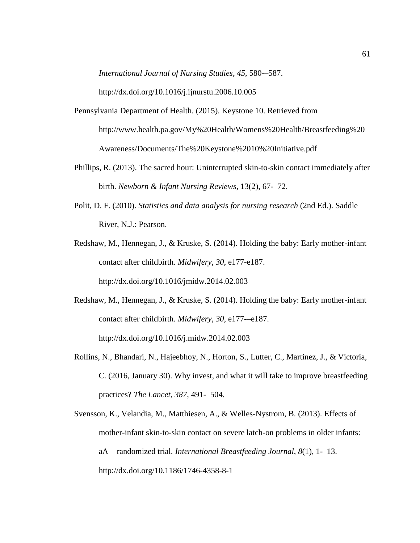*International Journal of Nursing Studies*, *45*, 580-–587.

http://dx.doi.org/10.1016/j.ijnurstu.2006.10.005

- Pennsylvania Department of Health. (2015). Keystone 10. Retrieved from http://www.health.pa.gov/My%20Health/Womens%20Health/Breastfeeding%20 Awareness/Documents/The%20Keystone%2010%20Initiative.pdf
- Phillips, R. (2013). The sacred hour: Uninterrupted skin-to-skin contact immediately after birth. *Newborn & Infant Nursing Reviews*, 13(2), 67-–72.
- Polit, D. F. (2010). *Statistics and data analysis for nursing research* (2nd Ed.). Saddle River, N.J.: Pearson.
- Redshaw, M., Hennegan, J., & Kruske, S. (2014). Holding the baby: Early mother-infant contact after childbirth. *Midwifery*, *30*, e177-e187. http://dx.doi.org/10.1016/jmidw.2014.02.003
- Redshaw, M., Hennegan, J., & Kruske, S. (2014). Holding the baby: Early mother-infant contact after childbirth. *Midwifery*, *30*, e177-–e187. http://dx.doi.org/10.1016/j.midw.2014.02.003
- Rollins, N., Bhandari, N., Hajeebhoy, N., Horton, S., Lutter, C., Martinez, J., & Victoria, C. (2016, January 30). Why invest, and what it will take to improve breastfeeding practices? *The Lancet*, *387*, 491-–504.

Svensson, K., Velandia, M., Matthiesen, A., & Welles-Nystrom, B. (2013). Effects of mother-infant skin-to-skin contact on severe latch-on problems in older infants: aA randomized trial. *International Breastfeeding Journal*, *8*(1), 1-–13. http://dx.doi.org/10.1186/1746-4358-8-1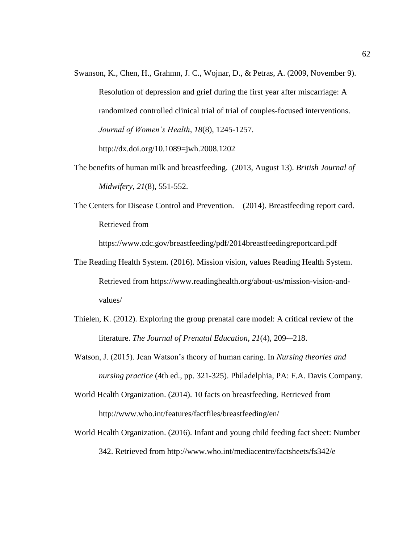- Swanson, K., Chen, H., Grahmn, J. C., Wojnar, D., & Petras, A. (2009, November 9). Resolution of depression and grief during the first year after miscarriage: A randomized controlled clinical trial of trial of couples-focused interventions. *Journal of Women's Health*, *18*(8), 1245-1257. http://dx.doi.org/10.1089=jwh.2008.1202
- The benefits of human milk and breastfeeding. (2013, August 13). *British Journal of Midwifery*, *21*(8), 551-552.
- The Centers for Disease Control and Prevention. (2014). Breastfeeding report card. Retrieved from

https://www.cdc.gov/breastfeeding/pdf/2014breastfeedingreportcard.pdf

- The Reading Health System. (2016). Mission vision, values Reading Health System. Retrieved from https://www.readinghealth.org/about-us/mission-vision-andvalues/
- Thielen, K. (2012). Exploring the group prenatal care model: A critical review of the literature. *The Journal of Prenatal Education*, *21*(4), 209-–218.
- Watson, J. (2015). Jean Watson's theory of human caring. In *Nursing theories and nursing practice* (4th ed., pp. 321-325). Philadelphia, PA: F.A. Davis Company.
- World Health Organization. (2014). 10 facts on breastfeeding. Retrieved from http://www.who.int/features/factfiles/breastfeeding/en/
- World Health Organization. (2016). Infant and young child feeding fact sheet: Number 342. Retrieved from http://www.who.int/mediacentre/factsheets/fs342/e